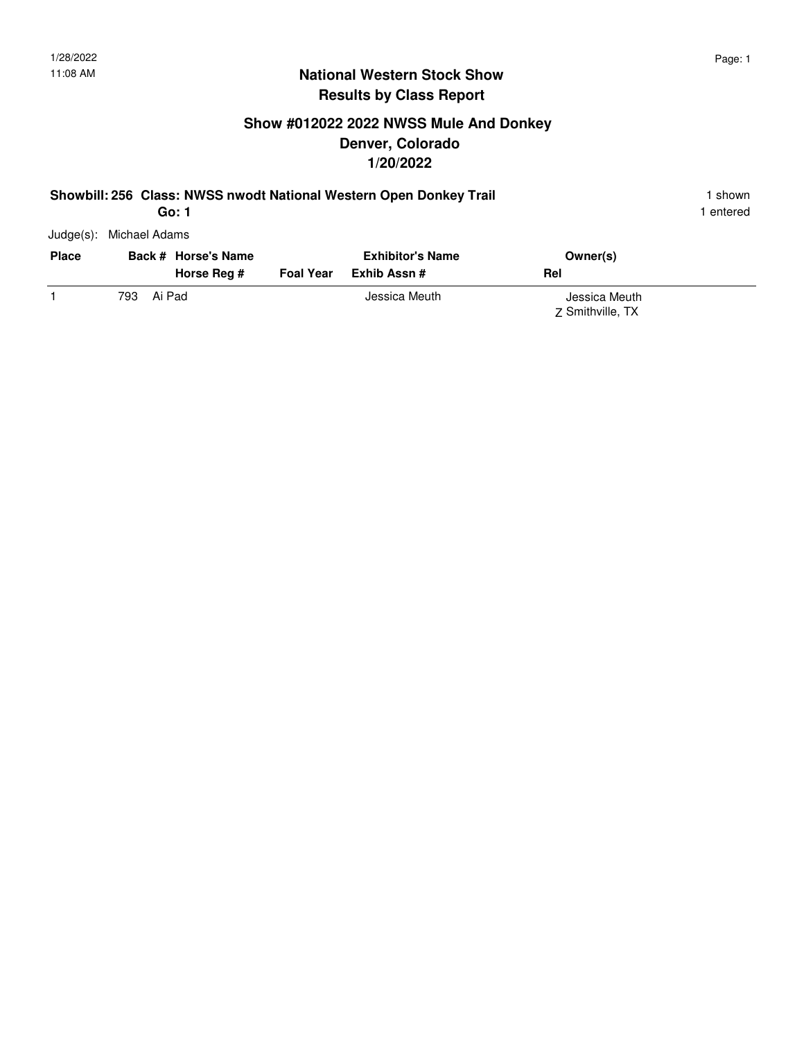1 entered

### **National Western Stock Show Results by Class Report**

### **Show #012022 2022 NWSS Mule And Donkey Denver, Colorado 1/20/2022**

#### **Showbill: 256 Class: NWSS nwodt National Western Open Donkey Trail** 1 Shown 1 shown **Go: 1**

| <b>Place</b> |      | Back # Horse's Name<br>Horse Reg # | <b>Foal Year</b> | <b>Exhibitor's Name</b><br>Exhib Assn # | Owner(s)<br>Rel  |  |
|--------------|------|------------------------------------|------------------|-----------------------------------------|------------------|--|
|              | 793. | Ai Pad                             |                  | Jessica Meuth                           | Jessica Meuth    |  |
|              |      |                                    |                  |                                         | Z Smithville, TX |  |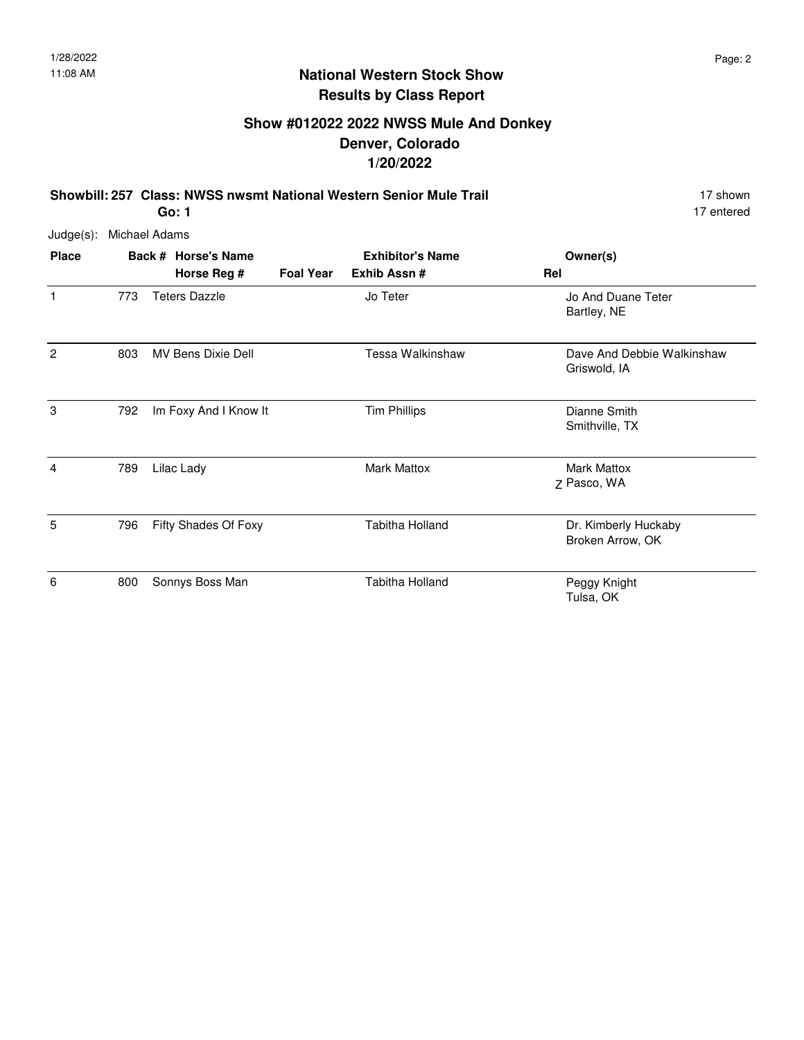## **Show #012022 2022 NWSS Mule And Donkey Denver, Colorado 1/20/2022**

**Showbill: 257 Class: NWSS nwsmt National Western Senior Mule Trail** 17 Shown 17 shown **Go: 1**

17 entered

| $Judge(s)$ : | Michael Adams |                                    |                  |                                        |                                            |
|--------------|---------------|------------------------------------|------------------|----------------------------------------|--------------------------------------------|
| <b>Place</b> |               | Back # Horse's Name<br>Horse Reg # | <b>Foal Year</b> | <b>Exhibitor's Name</b><br>Exhib Assn# | Owner(s)<br>Rel                            |
| 1            | 773           | <b>Teters Dazzle</b>               |                  | Jo Teter                               | Jo And Duane Teter<br>Bartley, NE          |
| 2            | 803           | <b>MV Bens Dixie Dell</b>          |                  | Tessa Walkinshaw                       | Dave And Debbie Walkinshaw<br>Griswold, IA |
| 3            | 792           | Im Foxy And I Know It              |                  | <b>Tim Phillips</b>                    | Dianne Smith<br>Smithville, TX             |
| 4            | 789           | Lilac Lady                         |                  | <b>Mark Mattox</b>                     | <b>Mark Mattox</b><br>Z Pasco, WA          |
| 5            | 796           | Fifty Shades Of Foxy               |                  | <b>Tabitha Holland</b>                 | Dr. Kimberly Huckaby<br>Broken Arrow, OK   |
| 6            | 800           | Sonnys Boss Man                    |                  | <b>Tabitha Holland</b>                 | Peggy Knight<br>Tulsa, OK                  |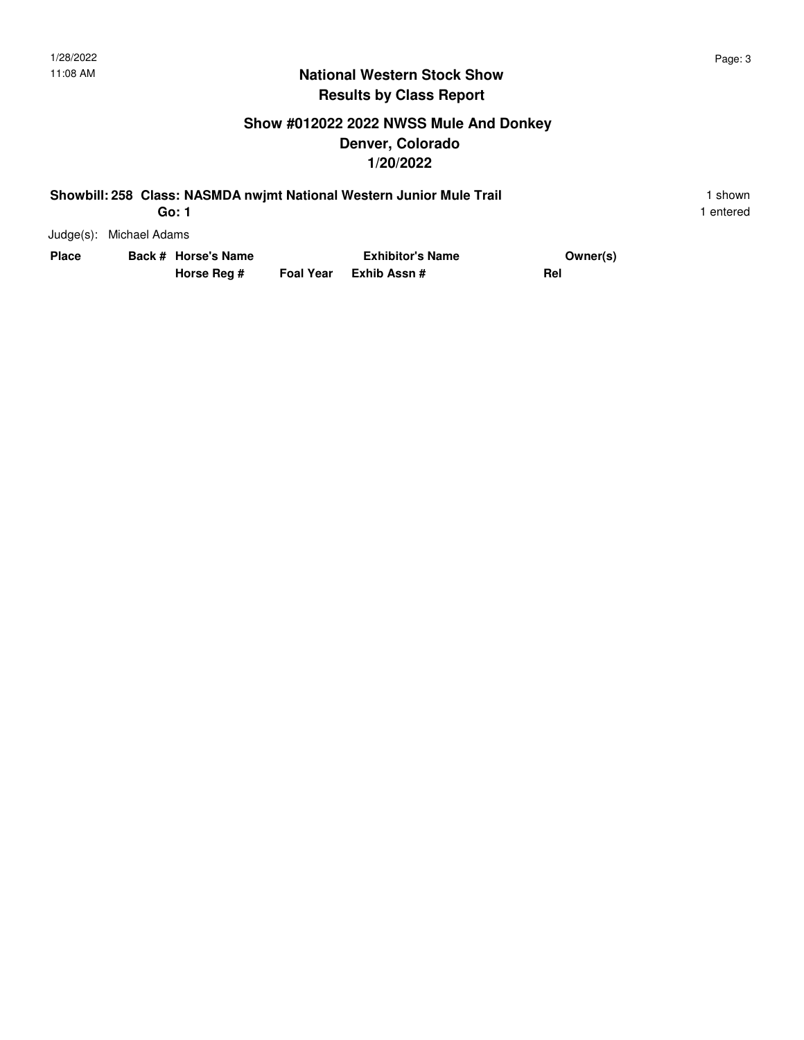## **Show #012022 2022 NWSS Mule And Donkey Denver, Colorado 1/20/2022**

| Showbill: 258 Class: NASMDA nwjmt National Western Junior Mule Trail | shown   |
|----------------------------------------------------------------------|---------|
| Go: 1                                                                | entered |

Judge(s): Michael Adams

| Place | Back # Horse's Name | <b>Exhibitor's Name</b> |                        | Owner(s) |
|-------|---------------------|-------------------------|------------------------|----------|
|       | Horse Reg #         |                         | Foal Year Exhib Assn # | Rel      |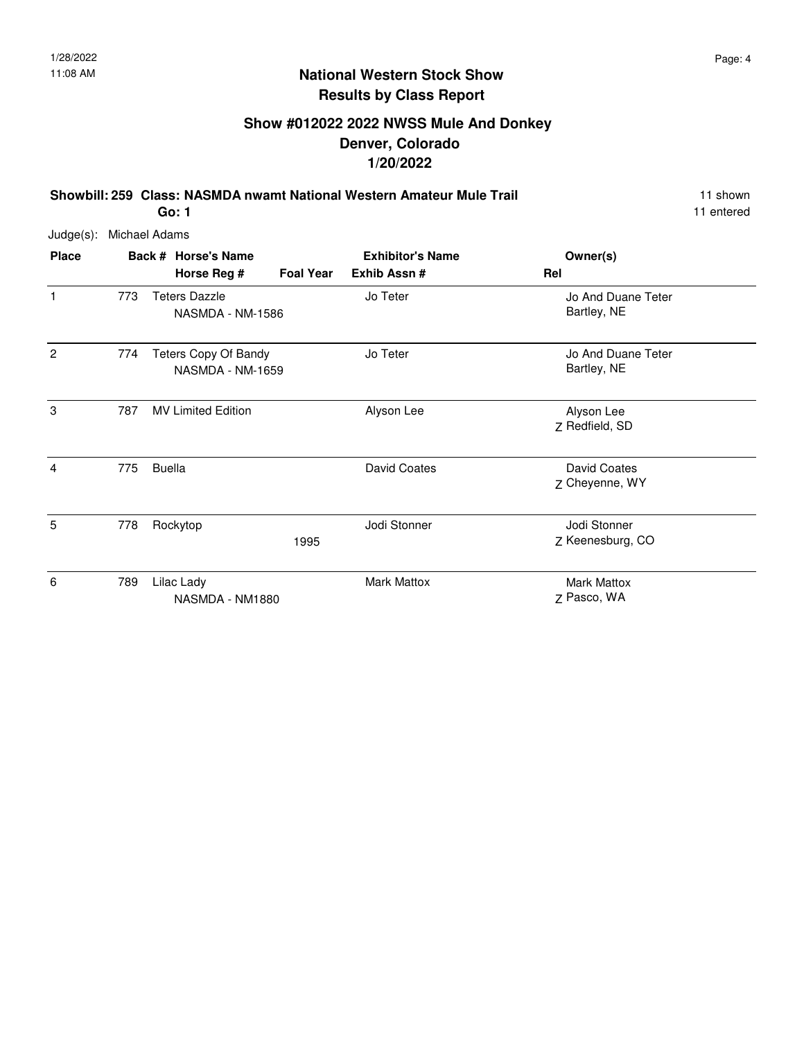## **Show #012022 2022 NWSS Mule And Donkey Denver, Colorado 1/20/2022**

**Showbill: 259 Class: NASMDA nwamt National Western Amateur Mule Trail** 11 Shown 11 shown **Go: 1**

11 entered

| <b>Place</b>   |     | Back # Horse's Name<br>Horse Reg #                     | <b>Foal Year</b> | <b>Exhibitor's Name</b><br>Exhib Assn# | Owner(s)<br>Rel                   |
|----------------|-----|--------------------------------------------------------|------------------|----------------------------------------|-----------------------------------|
| 1              | 773 | <b>Teters Dazzle</b><br>NASMDA - NM-1586               |                  | Jo Teter                               | Jo And Duane Teter<br>Bartley, NE |
| $\overline{c}$ | 774 | <b>Teters Copy Of Bandy</b><br><b>NASMDA - NM-1659</b> |                  | Jo Teter                               | Jo And Duane Teter<br>Bartley, NE |
| 3              | 787 | <b>MV Limited Edition</b>                              |                  | Alyson Lee                             | Alyson Lee<br>Z Redfield, SD      |
| 4              | 775 | <b>Buella</b>                                          |                  | <b>David Coates</b>                    | David Coates<br>Z Cheyenne, WY    |
| 5              | 778 | Rockytop                                               | 1995             | Jodi Stonner                           | Jodi Stonner<br>Z Keenesburg, CO  |
| 6              | 789 | Lilac Lady<br>NASMDA - NM1880                          |                  | <b>Mark Mattox</b>                     | <b>Mark Mattox</b><br>Z Pasco, WA |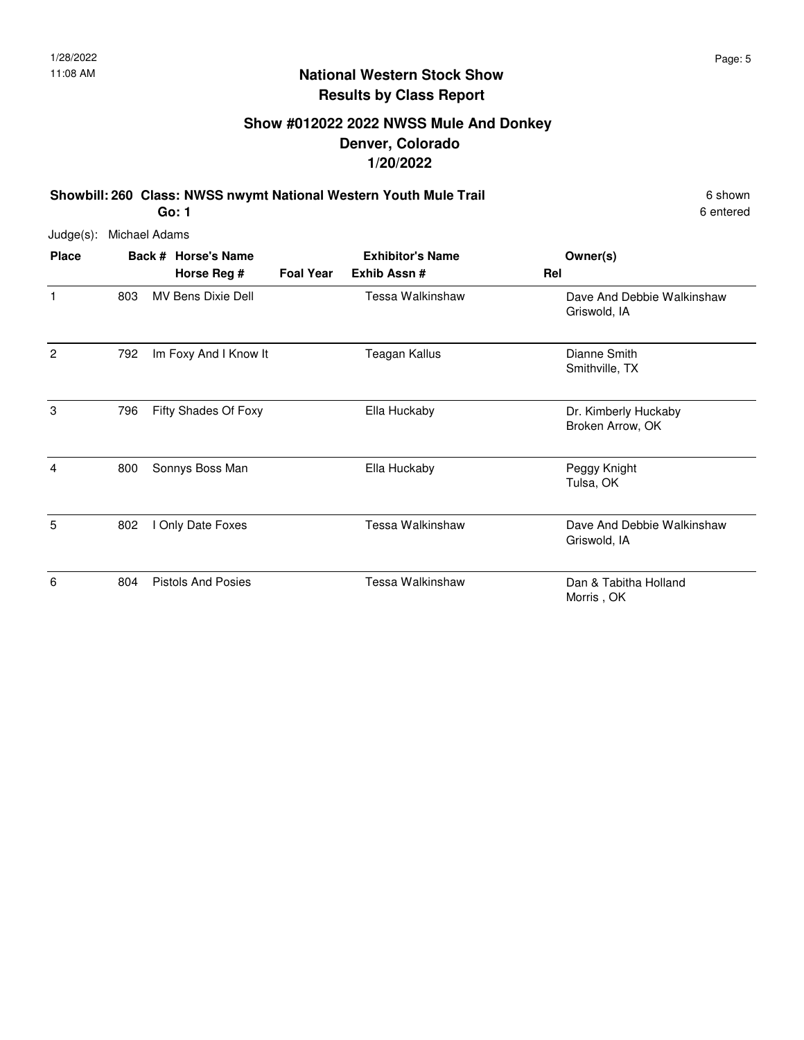### **Show #012022 2022 NWSS Mule And Donkey Denver, Colorado 1/20/2022**

**Showbill: 260 Class: NWSS nwymt National Western Youth Mule Trail 6 Shown 6 shown** 

**Go: 1**

6 entered

Judge(s): Michael Adams **Back # Horse's Name Place Owner(s) Horse Reg # Exhib Assn # Foal Year Rel Exhibitor's Name** 1 1 803 MV Bens Dixie Dell 1 Tessa Walkinshaw 1 Dave And Debbie Walkinshaw Griswold, IA MV Bens Dixie Dell 2 Dianne Smith 792 Im Foxy And I Know It Teagan Kallus Smithville, TX 3 796 Fifty Shades Of Foxy Ella Huckaby Changes and Dr. Kimberly Huckaby Broken Arrow, OK Fifty Shades Of Foxy 4 Peggy Knight 800 Sonnys Boss Man Ella Huckaby Tulsa, OK 5 802 I Only Date Foxes **Dave And Strutter And Strutter And Strutter** Bave And Debbie Walkinshaw Griswold, IA I Only Date Foxes 6 6 2014 Pistols And Posies **Example 2016** Tessa Walkinshaw **Dan & Tabitha Holland** Morris , OK Pistols And Posies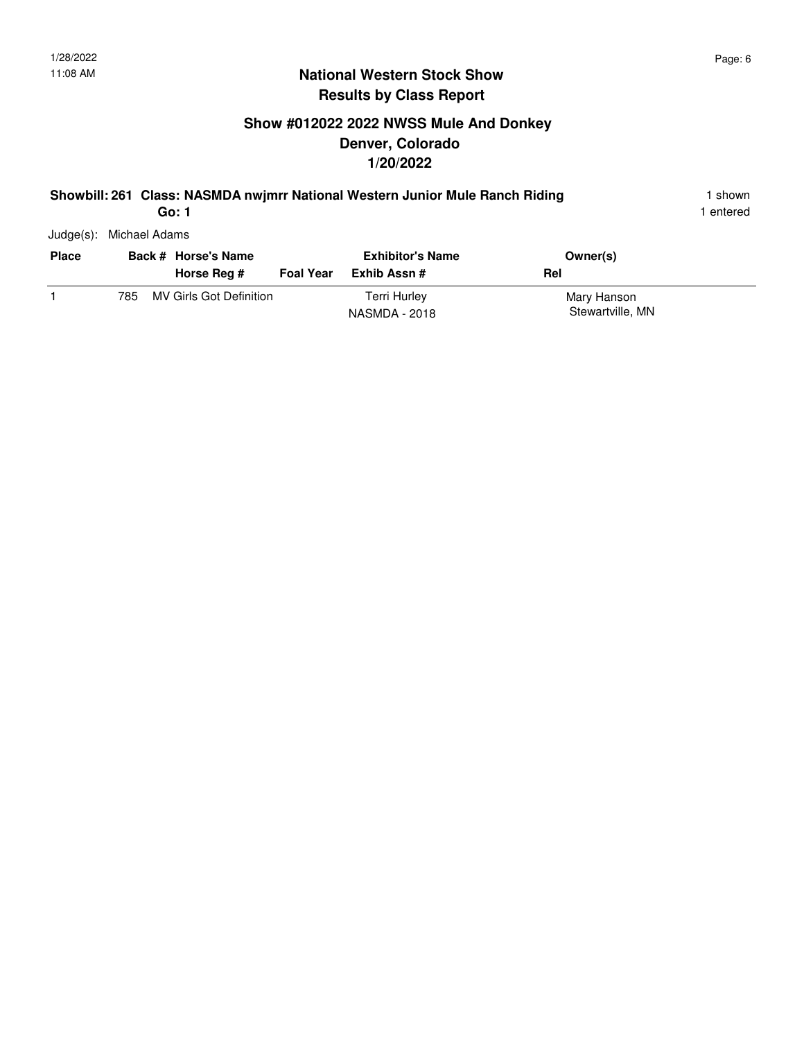# **Show #012022 2022 NWSS Mule And Donkey Denver, Colorado 1/20/2022**

#### **Showbill: 261 Class: NASMDA nwjmrr National Western Junior Mule Ranch Riding** 1 shown

1 entered

Judge(s): Michael Adams

| <b>Place</b> |      | Back # Horse's Name<br>Horse Reg # | <b>Foal Year</b> | <b>Exhibitor's Name</b><br>Exhib Assn # | Owner(s)<br>Rel                 |
|--------------|------|------------------------------------|------------------|-----------------------------------------|---------------------------------|
|              | 785. | MV Girls Got Definition            |                  | <b>Terri Hurley</b><br>NASMDA - 2018    | Mary Hanson<br>Stewartville, MN |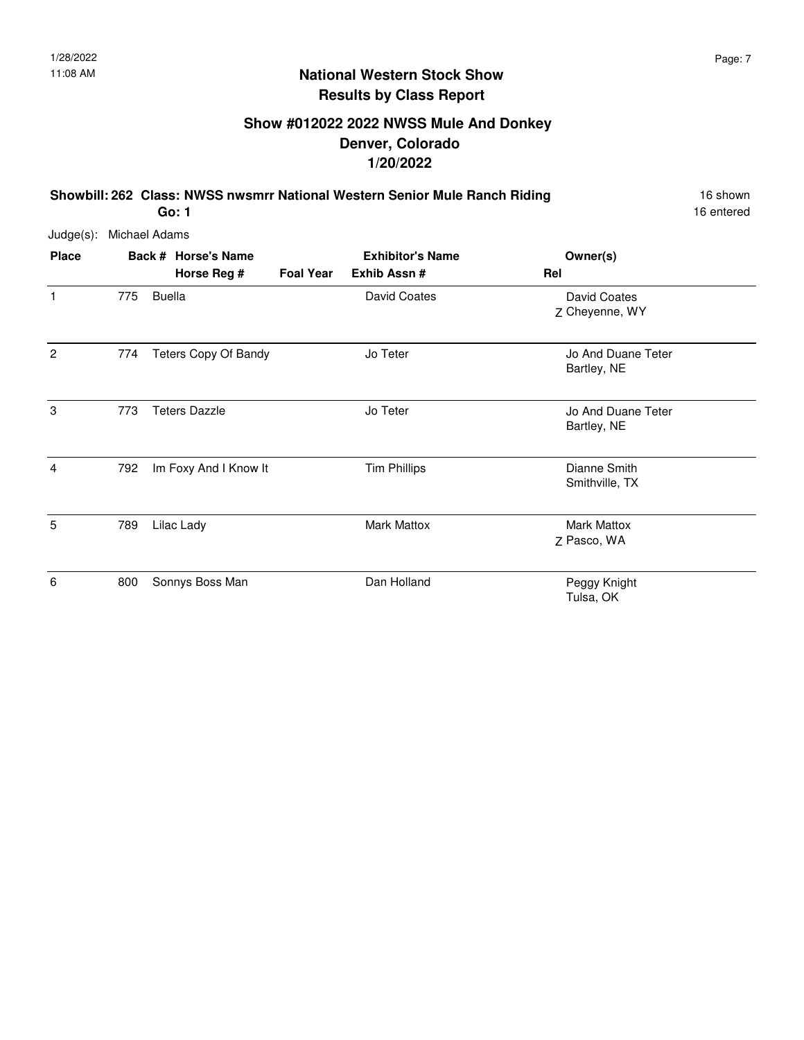# **Show #012022 2022 NWSS Mule And Donkey Denver, Colorado 1/20/2022**

**Showbill: 262 Class: NWSS nwsmrr National Western Senior Mule Ranch Riding** 16 Shown **Go: 1**

16 entered

| Judge(s):      | Michael Adams |               |                                    |                  |                                         |                                   |
|----------------|---------------|---------------|------------------------------------|------------------|-----------------------------------------|-----------------------------------|
| <b>Place</b>   |               |               | Back # Horse's Name<br>Horse Reg # | <b>Foal Year</b> | <b>Exhibitor's Name</b><br>Exhib Assn # | Owner(s)<br>Rel                   |
| 1              | 775           | <b>Buella</b> |                                    |                  | David Coates                            | David Coates<br>Z Cheyenne, WY    |
| $\overline{c}$ | 774           |               | Teters Copy Of Bandy               |                  | Jo Teter                                | Jo And Duane Teter<br>Bartley, NE |
| 3              | 773           |               | <b>Teters Dazzle</b>               |                  | Jo Teter                                | Jo And Duane Teter<br>Bartley, NE |
| $\overline{4}$ | 792           |               | Im Foxy And I Know It              |                  | <b>Tim Phillips</b>                     | Dianne Smith<br>Smithville, TX    |
| $\overline{5}$ | 789           |               | Lilac Lady                         |                  | <b>Mark Mattox</b>                      | <b>Mark Mattox</b><br>Z Pasco, WA |
| 6              | 800           |               | Sonnys Boss Man                    |                  | Dan Holland                             | Peggy Knight<br>Tulsa, OK         |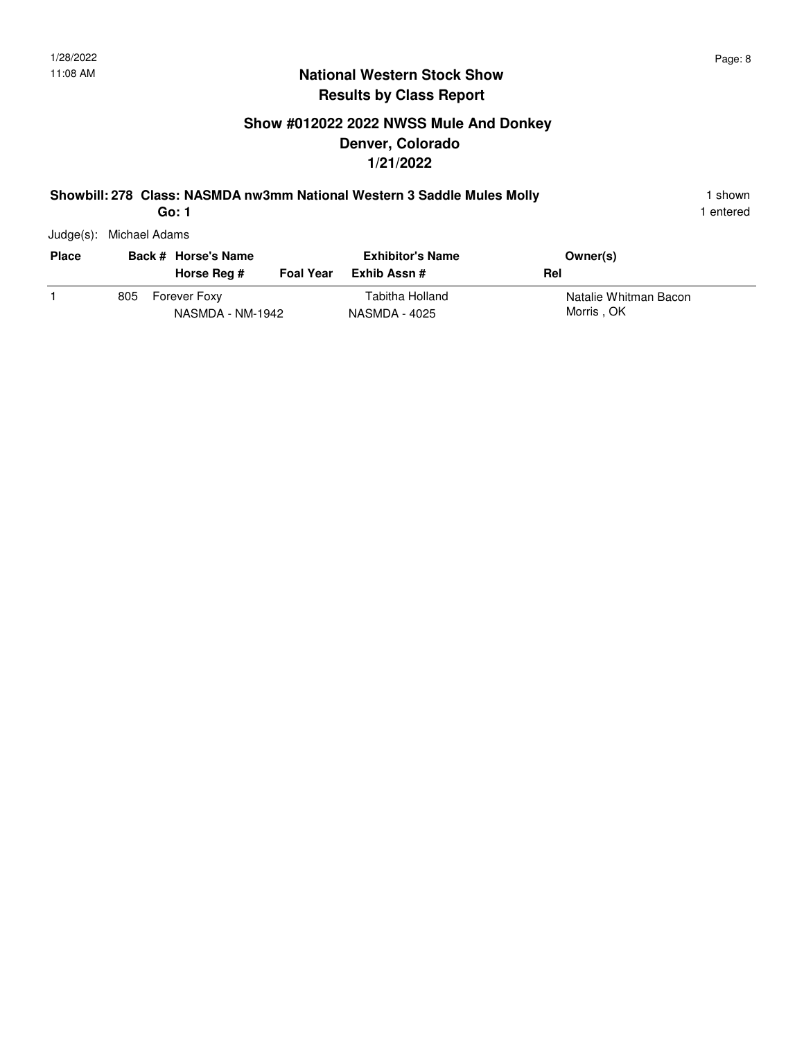# **Show #012022 2022 NWSS Mule And Donkey Denver, Colorado 1/21/2022**

#### **Showbill: 278 Class: NASMDA nw3mm National Western 3 Saddle Mules Molly** 1 shown 1 shown

1 entered

Judge(s): Michael Adams

| <b>Place</b> |     | Back # Horse's Name<br>Horse Reg # | <b>Foal Year</b> | <b>Exhibitor's Name</b><br>Exhib Assn # | Owner(s)<br>Rel                     |
|--------------|-----|------------------------------------|------------------|-----------------------------------------|-------------------------------------|
|              | 805 | Forever Foxy<br>NASMDA - NM-1942   |                  | Tabitha Holland<br>NASMDA - 4025        | Natalie Whitman Bacon<br>Morris, OK |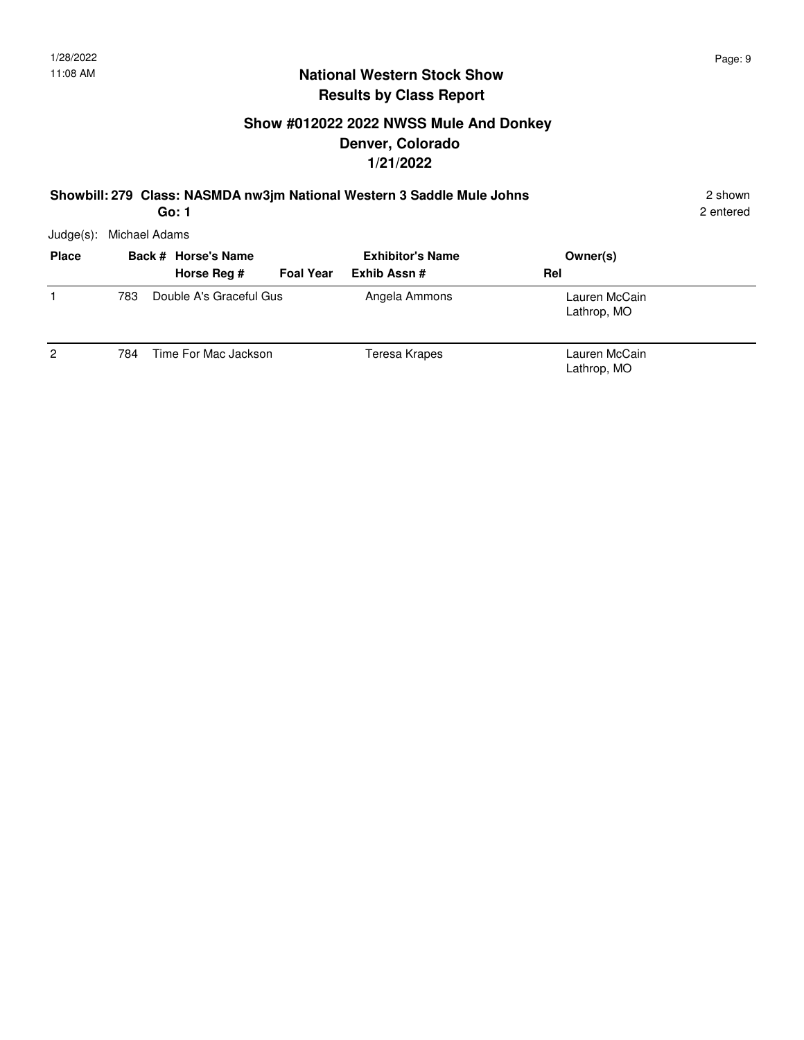## **Show #012022 2022 NWSS Mule And Donkey Denver, Colorado 1/21/2022**

#### **Showbill: 279 Class: NASMDA nw3jm National Western 3 Saddle Mule Johns** 2 shown

2 entered

Judge(s): Michael Adams

| <b>Place</b> |     | Back # Horse's Name             | <b>Exhibitor's Name</b> | Owner(s)                     |  |
|--------------|-----|---------------------------------|-------------------------|------------------------------|--|
|              |     | Horse Reg #<br><b>Foal Year</b> | Exhib Assn #            | Rel                          |  |
|              | 783 | Double A's Graceful Gus         | Angela Ammons           | Lauren McCain<br>Lathrop, MO |  |
| 2            | 784 | Time For Mac Jackson            | Teresa Krapes           | Lauren McCain<br>Lathrop, MO |  |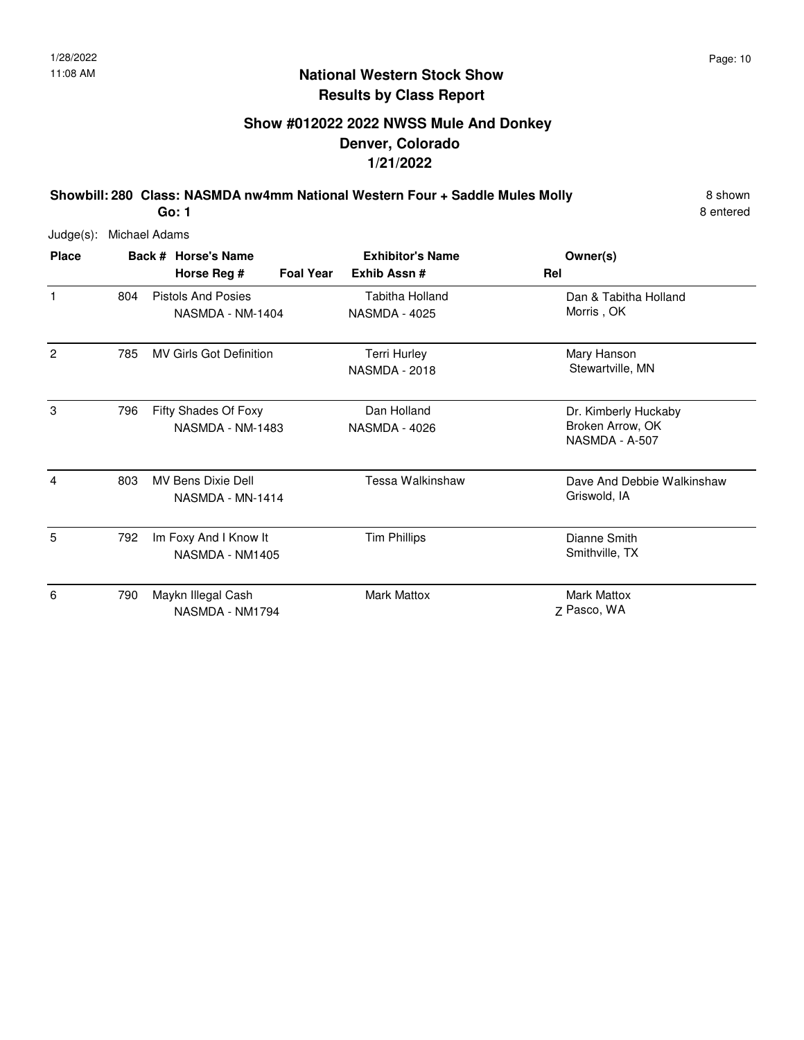# **Show #012022 2022 NWSS Mule And Donkey Denver, Colorado 1/21/2022**

**Showbill: 280 Class: NASMDA nw4mm National Western Four + Saddle Mules Molly** 8 Shown **Go: 1**

8 entered

| <b>Place</b> |     | Back # Horse's Name<br><b>Foal Year</b><br>Horse Reg # | <b>Exhibitor's Name</b><br>Exhib Assn#      | Owner(s)<br>Rel                                            |
|--------------|-----|--------------------------------------------------------|---------------------------------------------|------------------------------------------------------------|
| 1            | 804 | <b>Pistols And Posies</b><br>NASMDA - NM-1404          | Tabitha Holland<br><b>NASMDA - 4025</b>     | Dan & Tabitha Holland<br>Morris, OK                        |
| 2            | 785 | <b>MV Girls Got Definition</b>                         | <b>Terri Hurley</b><br><b>NASMDA - 2018</b> | Mary Hanson<br>Stewartville, MN                            |
| 3            | 796 | Fifty Shades Of Foxy<br>NASMDA - NM-1483               | Dan Holland<br><b>NASMDA - 4026</b>         | Dr. Kimberly Huckaby<br>Broken Arrow, OK<br>NASMDA - A-507 |
| 4            | 803 | <b>MV Bens Dixie Dell</b><br>NASMDA - MN-1414          | Tessa Walkinshaw                            | Dave And Debbie Walkinshaw<br>Griswold, IA                 |
| 5            | 792 | Im Foxy And I Know It<br>NASMDA - NM1405               | <b>Tim Phillips</b>                         | Dianne Smith<br>Smithville, TX                             |
| 6            | 790 | Maykn Illegal Cash<br>NASMDA - NM1794                  | Mark Mattox                                 | <b>Mark Mattox</b><br>7 Pasco, WA                          |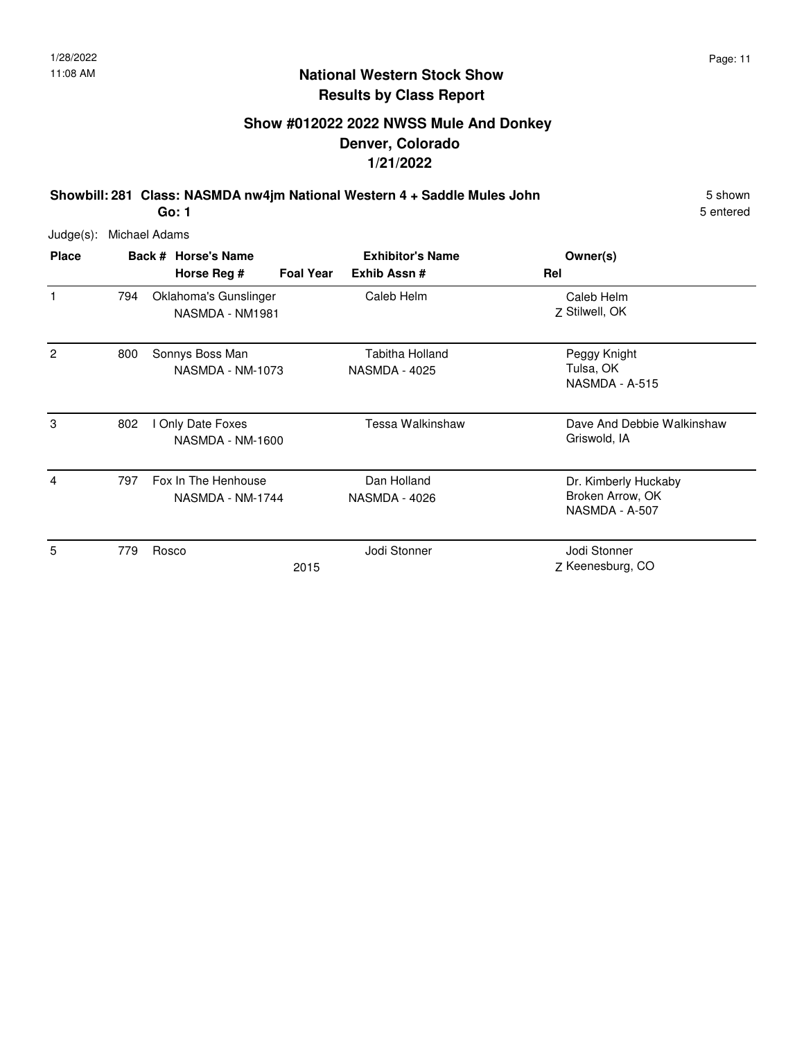# **Show #012022 2022 NWSS Mule And Donkey Denver, Colorado 1/21/2022**

**Showbill: 281 Class: NASMDA nw4jm National Western 4 + Saddle Mules John** 5 Shown 5 shown **Go: 1**

5 entered

| <b>Place</b> |     | Back # Horse's Name                      |                  | <b>Exhibitor's Name</b>                 | Owner(s)                                                   |
|--------------|-----|------------------------------------------|------------------|-----------------------------------------|------------------------------------------------------------|
|              |     | Horse Reg #                              | <b>Foal Year</b> | Exhib Assn#                             | Rel                                                        |
|              | 794 | Oklahoma's Gunslinger<br>NASMDA - NM1981 |                  | Caleb Helm                              | Caleb Helm<br>Z Stilwell, OK                               |
| 2            | 800 | Sonnys Boss Man<br>NASMDA - NM-1073      |                  | Tabitha Holland<br><b>NASMDA - 4025</b> | Peggy Knight<br>Tulsa, OK<br>NASMDA - A-515                |
| 3            | 802 | Only Date Foxes<br>NASMDA - NM-1600      |                  | Tessa Walkinshaw                        | Dave And Debbie Walkinshaw<br>Griswold, IA                 |
| 4            | 797 | Fox In The Henhouse<br>NASMDA - NM-1744  |                  | Dan Holland<br>NASMDA - 4026            | Dr. Kimberly Huckaby<br>Broken Arrow, OK<br>NASMDA - A-507 |
| 5            | 779 | Rosco                                    | 2015             | Jodi Stonner                            | Jodi Stonner<br>Z Keenesburg, CO                           |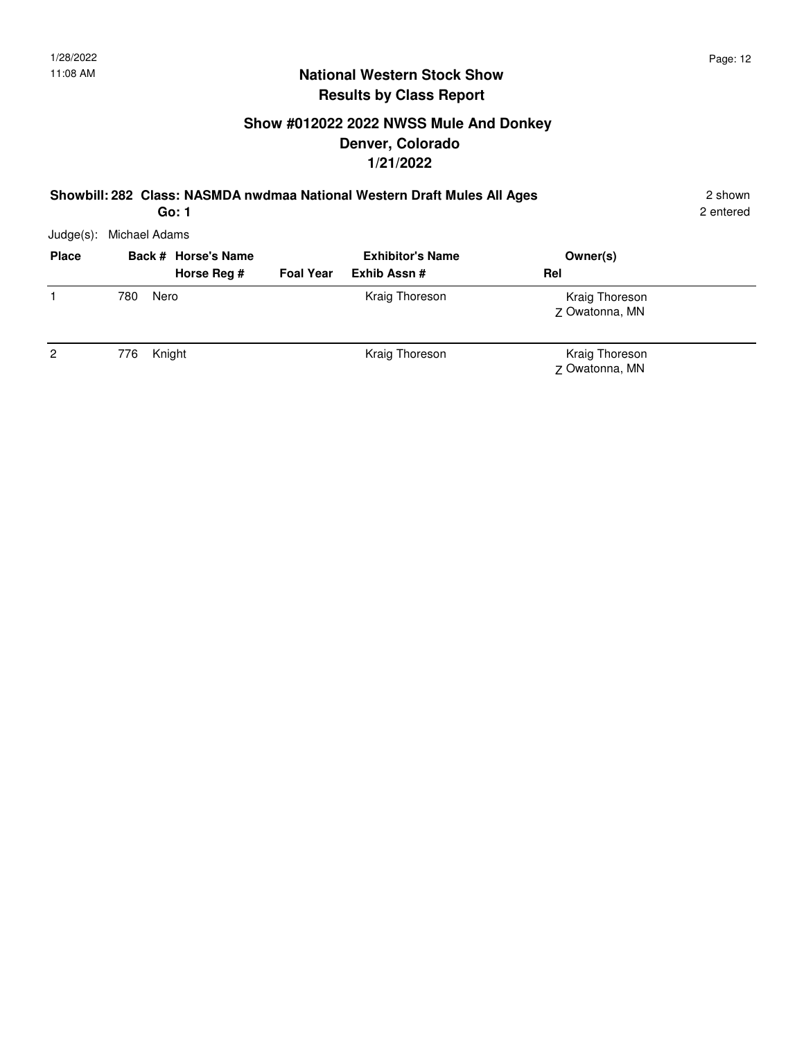# **Show #012022 2022 NWSS Mule And Donkey Denver, Colorado 1/21/2022**

#### **Showbill: 282 Class: NASMDA nwdmaa National Western Draft Mules All Ages** 2 shown **Go: 1**

2 entered

| <b>Place</b>   |     | Back # Horse's Name |                  | <b>Exhibitor's Name</b> | Owner(s)                         |  |
|----------------|-----|---------------------|------------------|-------------------------|----------------------------------|--|
|                |     | Horse Reg #         | <b>Foal Year</b> | Exhib Assn#             | Rel                              |  |
|                | 780 | Nero                |                  | Kraig Thoreson          | Kraig Thoreson<br>Z Owatonna, MN |  |
| $\overline{2}$ | 776 | Knight              |                  | Kraig Thoreson          | Kraig Thoreson<br>Z Owatonna, MN |  |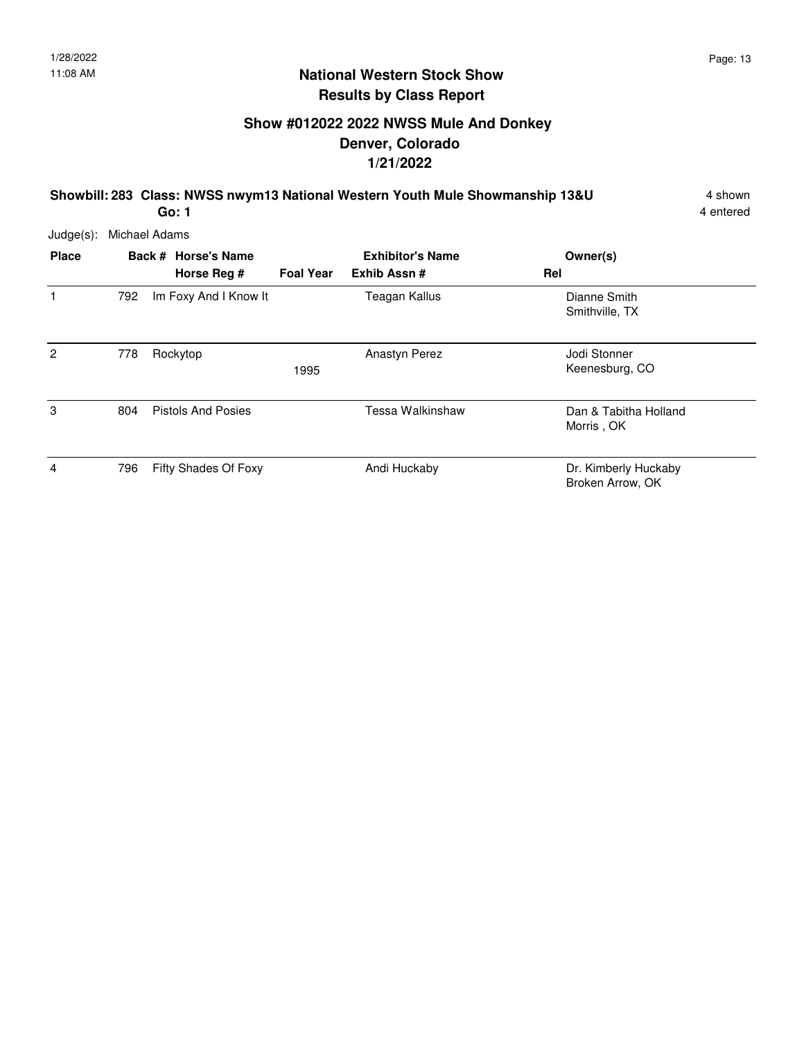# **Show #012022 2022 NWSS Mule And Donkey Denver, Colorado 1/21/2022**

**Showbill: 283 Class: NWSS nwym13 National Western Youth Mule Showmanship 13&U** 4 shown **Go: 1**

4 entered

| Judge(s): Michael Adams |
|-------------------------|
|-------------------------|

| <b>Place</b>  |     | Back # Horse's Name<br>Horse Reg # | <b>Foal Year</b> | <b>Exhibitor's Name</b><br>Exhib Assn# | Owner(s)<br>Rel                          |
|---------------|-----|------------------------------------|------------------|----------------------------------------|------------------------------------------|
| 1             | 792 | Im Foxy And I Know It              |                  | Teagan Kallus                          | Dianne Smith<br>Smithville, TX           |
| $\mathcal{P}$ | 778 | Rockytop                           | 1995             | <b>Anastyn Perez</b>                   | Jodi Stonner<br>Keenesburg, CO           |
| 3             | 804 | <b>Pistols And Posies</b>          |                  | Tessa Walkinshaw                       | Dan & Tabitha Holland<br>Morris, OK      |
| 4             | 796 | Fifty Shades Of Foxy               |                  | Andi Huckaby                           | Dr. Kimberly Huckaby<br>Broken Arrow, OK |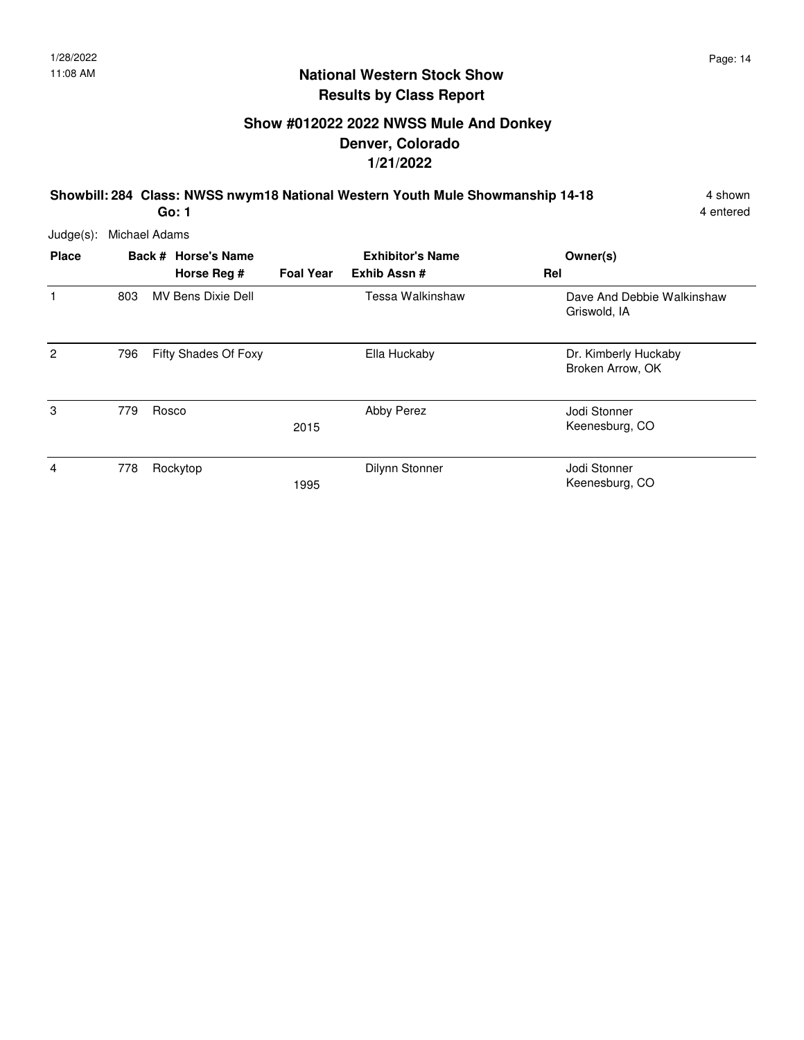# **Show #012022 2022 NWSS Mule And Donkey Denver, Colorado 1/21/2022**

**Showbill: 284 Class: NWSS nwym18 National Western Youth Mule Showmanship 14-18** 4 shown **Go: 1**

4 entered

| $Judge(s)$ :   |     | Michael Adams |                                    |                  |                                        |                                            |
|----------------|-----|---------------|------------------------------------|------------------|----------------------------------------|--------------------------------------------|
| <b>Place</b>   |     |               | Back # Horse's Name<br>Horse Reg # | <b>Foal Year</b> | <b>Exhibitor's Name</b><br>Exhib Assn# | Owner(s)<br>Rel                            |
| 1              | 803 |               | <b>MV Bens Dixie Dell</b>          |                  | Tessa Walkinshaw                       | Dave And Debbie Walkinshaw<br>Griswold, IA |
| $\overline{2}$ | 796 |               | Fifty Shades Of Foxy               |                  | Ella Huckaby                           | Dr. Kimberly Huckaby<br>Broken Arrow, OK   |
| 3              | 779 |               | Rosco                              | 2015             | Abby Perez                             | Jodi Stonner<br>Keenesburg, CO             |
| 4              | 778 |               | Rockytop                           | 1995             | Dilynn Stonner                         | Jodi Stonner<br>Keenesburg, CO             |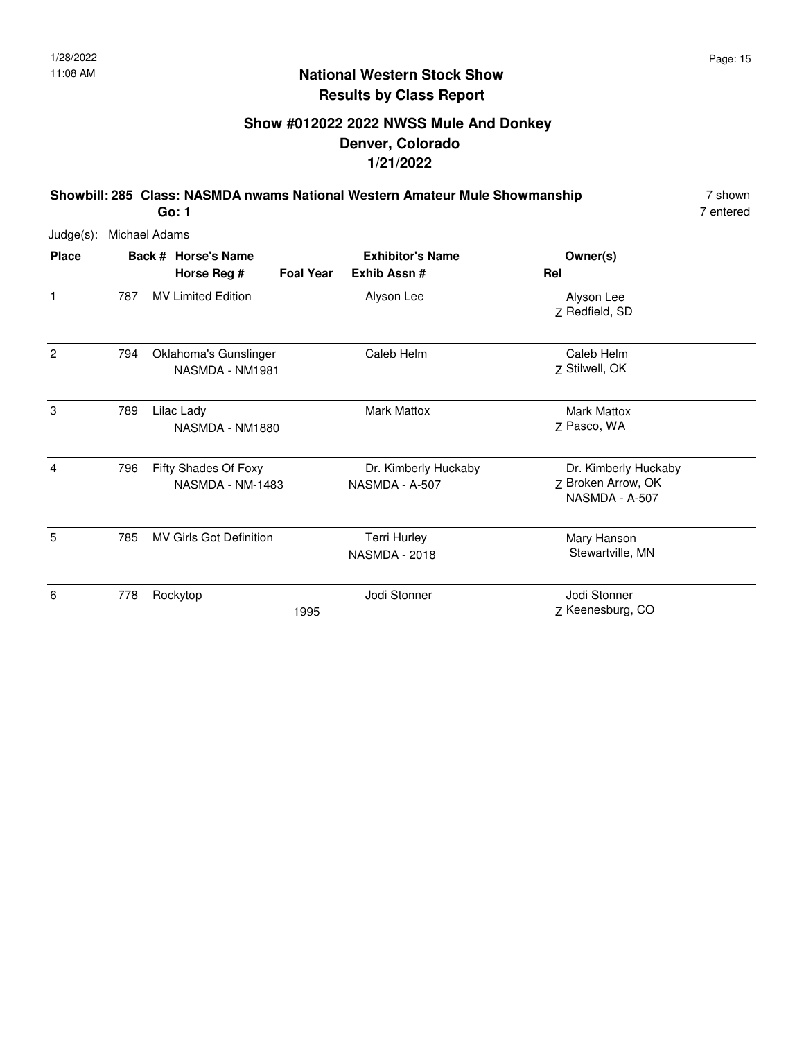# **Show #012022 2022 NWSS Mule And Donkey Denver, Colorado 1/21/2022**

**Showbill: 285 Class: NASMDA nwams National Western Amateur Mule Showmanship** 7 shown

7 entered

Judge(s): Michael Adams

| <b>Place</b> |     | Back # Horse's Name                      |                  | <b>Exhibitor's Name</b>                     | Owner(s)                                                     |
|--------------|-----|------------------------------------------|------------------|---------------------------------------------|--------------------------------------------------------------|
|              |     | Horse Reg #                              | <b>Foal Year</b> | Exhib Assn#                                 | Rel                                                          |
| 1            | 787 | <b>MV Limited Edition</b>                |                  | Alyson Lee                                  | Alyson Lee<br>Z Redfield, SD                                 |
| 2            | 794 | Oklahoma's Gunslinger<br>NASMDA - NM1981 |                  | Caleb Helm                                  | Caleb Helm<br>Z Stilwell, OK                                 |
| 3            | 789 | Lilac Lady<br>NASMDA - NM1880            |                  | <b>Mark Mattox</b>                          | <b>Mark Mattox</b><br>Z Pasco, WA                            |
| 4            | 796 | Fifty Shades Of Foxy<br>NASMDA - NM-1483 |                  | Dr. Kimberly Huckaby<br>NASMDA - A-507      | Dr. Kimberly Huckaby<br>Z Broken Arrow, OK<br>NASMDA - A-507 |
| 5            | 785 | <b>MV Girls Got Definition</b>           |                  | <b>Terri Hurley</b><br><b>NASMDA - 2018</b> | Mary Hanson<br>Stewartville, MN                              |
| 6            | 778 | Rockytop                                 | 1995             | Jodi Stonner                                | Jodi Stonner<br>Z Keenesburg, CO                             |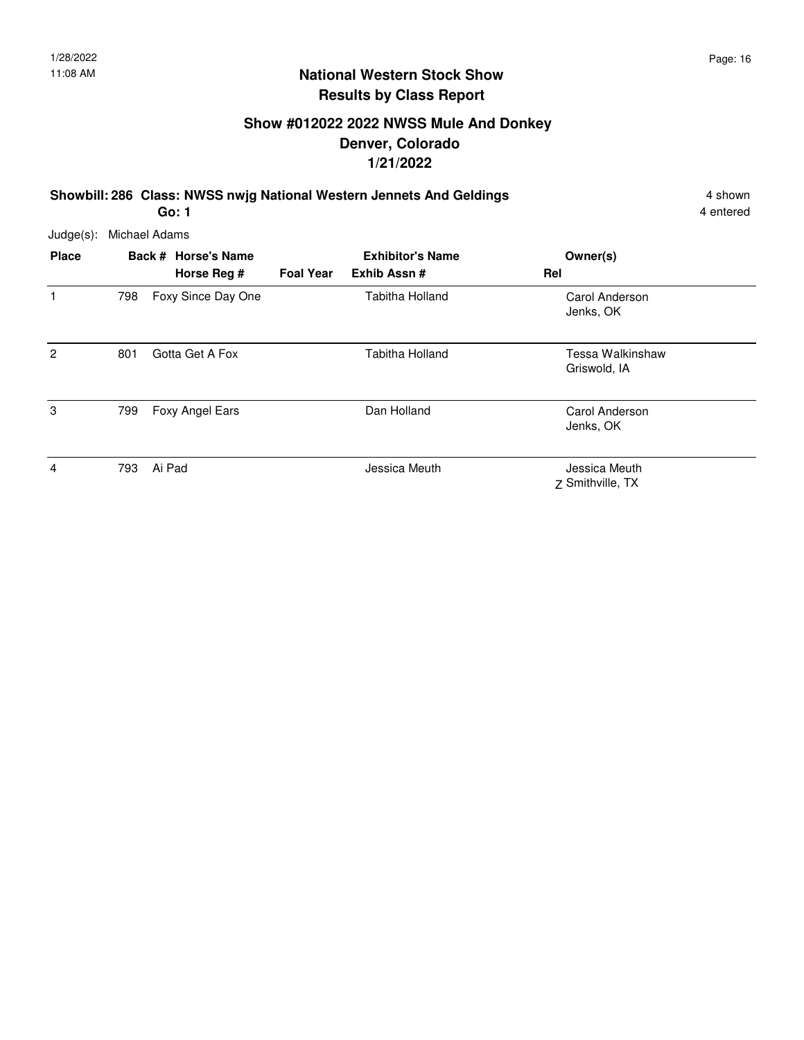# **Show #012022 2022 NWSS Mule And Donkey Denver, Colorado 1/21/2022**

**Showbill: 286 Class: NWSS nwjg National Western Jennets And Geldings** 4 Shown 4 shown

**Go: 1**

4 entered

| $Judge(s)$ :   |     | Michael Adams                      |                  |                                        |                                   |
|----------------|-----|------------------------------------|------------------|----------------------------------------|-----------------------------------|
| <b>Place</b>   |     | Back # Horse's Name<br>Horse Reg # | <b>Foal Year</b> | <b>Exhibitor's Name</b><br>Exhib Assn# | Owner(s)<br>Rel                   |
| 1              | 798 | Foxy Since Day One                 |                  | Tabitha Holland                        | Carol Anderson<br>Jenks, OK       |
| $\overline{2}$ | 801 | Gotta Get A Fox                    |                  | Tabitha Holland                        | Tessa Walkinshaw<br>Griswold, IA  |
| 3              | 799 | Foxy Angel Ears                    |                  | Dan Holland                            | Carol Anderson<br>Jenks, OK       |
| 4              | 793 | Ai Pad                             |                  | Jessica Meuth                          | Jessica Meuth<br>Z Smithville, TX |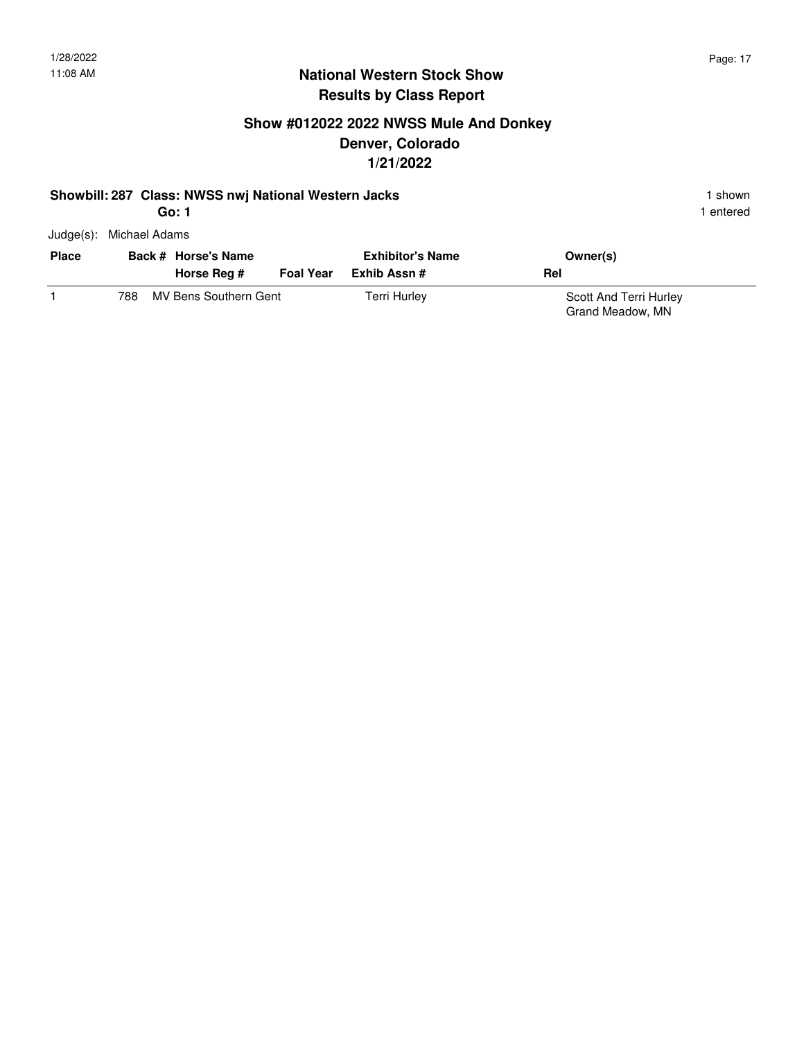1 entered

### **National Western Stock Show Results by Class Report**

## **Show #012022 2022 NWSS Mule And Donkey Denver, Colorado 1/21/2022**

#### **Showbill: 287 Class: NWSS nwj National Western Jacks** 1 **Shown** 1 shown **Go: 1**

| <b>Place</b> |     | Back # Horse's Name   |                  | <b>Exhibitor's Name</b> | Owner(s)                                   |
|--------------|-----|-----------------------|------------------|-------------------------|--------------------------------------------|
|              |     | Horse Reg #           | <b>Foal Year</b> | Exhib Assn #            | Rel                                        |
|              | 788 | MV Bens Southern Gent |                  | Terri Hurley            | Scott And Terri Hurley<br>Grand Meadow, MN |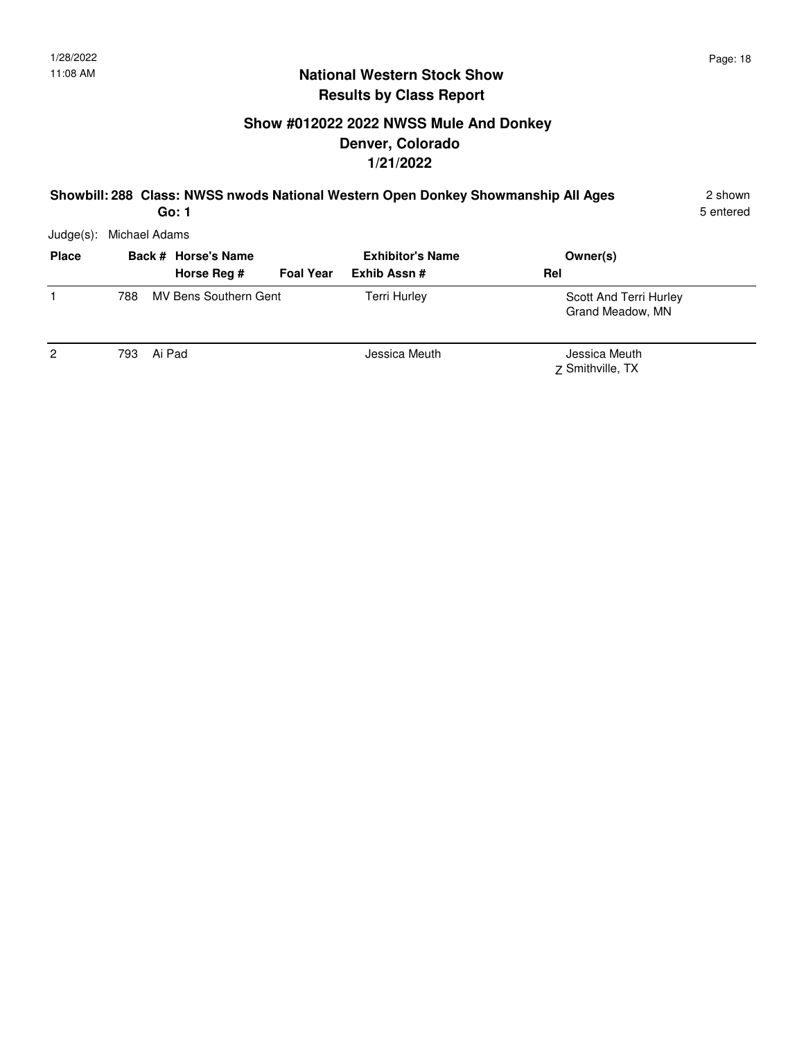# **Show #012022 2022 NWSS Mule And Donkey Denver, Colorado 1/21/2022**

#### **Showbill: 288 Class: NWSS nwods National Western Open Donkey Showmanship All Ages** 2 shown **Go: 1**

5 entered

| <b>Place</b>   |      | Back # Horse's Name<br>Horse Reg # | <b>Foal Year</b> | <b>Exhibitor's Name</b><br>Exhib Assn# | Owner(s)<br>Rel                            |
|----------------|------|------------------------------------|------------------|----------------------------------------|--------------------------------------------|
|                | 788  | MV Bens Southern Gent              |                  | <b>Terri Hurley</b>                    | Scott And Terri Hurley<br>Grand Meadow, MN |
| $\overline{2}$ | 793. | Ai Pad                             |                  | Jessica Meuth                          | Jessica Meuth<br>7 Smithville, TX          |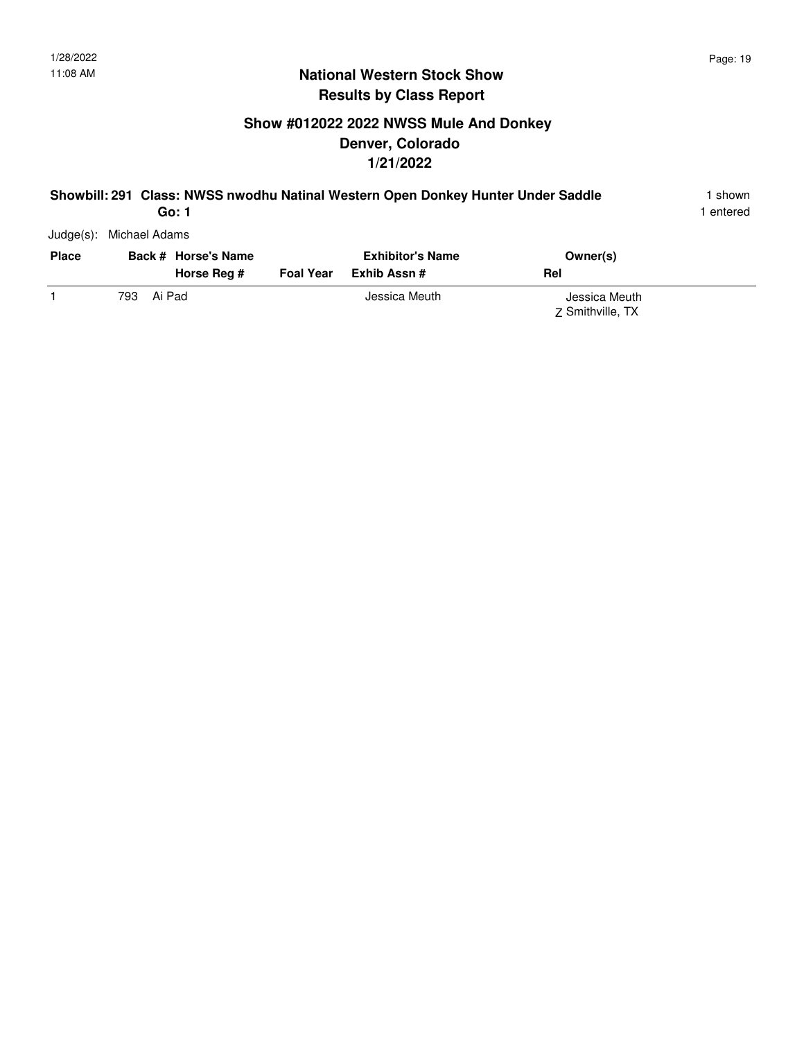# **Show #012022 2022 NWSS Mule And Donkey Denver, Colorado 1/21/2022**

#### **Showbill: 291 Class: NWSS nwodhu Natinal Western Open Donkey Hunter Under Saddle** 1 shown **Go: 1**

1 entered

| <b>Place</b> |     | Back # Horse's Name<br>Horse Reg # | Foal Year | <b>Exhibitor's Name</b><br>Exhib Assn # | Rel | Owner(s)                          |  |
|--------------|-----|------------------------------------|-----------|-----------------------------------------|-----|-----------------------------------|--|
|              | 793 | Ai Pad                             |           | Jessica Meuth                           |     | Jessica Meuth<br>7 Smithville, TX |  |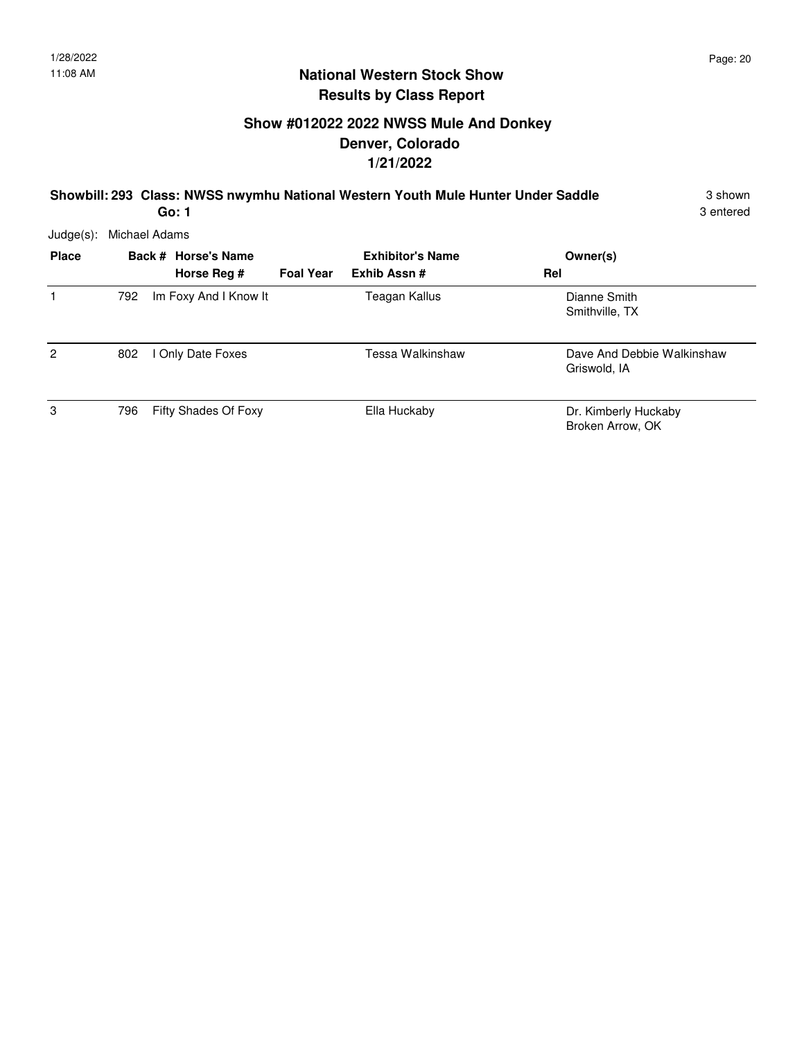# **Show #012022 2022 NWSS Mule And Donkey Denver, Colorado 1/21/2022**

**Showbill: 293 Class: NWSS nwymhu National Western Youth Mule Hunter Under Saddle** 3 shown **Go: 1**

3 entered

| <b>Place</b>   |     | Back # Horse's Name<br>Horse Rea # | <b>Foal Year</b> | <b>Exhibitor's Name</b><br>Exhib Assn# | Owner(s)<br>Rel                            |
|----------------|-----|------------------------------------|------------------|----------------------------------------|--------------------------------------------|
|                | 792 | Im Foxy And I Know It              |                  | Teagan Kallus                          | Dianne Smith<br>Smithville, TX             |
| $\overline{2}$ | 802 | I Only Date Foxes                  |                  | Tessa Walkinshaw                       | Dave And Debbie Walkinshaw<br>Griswold, IA |
| 3              | 796 | Fifty Shades Of Foxy               |                  | Ella Huckaby                           | Dr. Kimberly Huckaby<br>Broken Arrow, OK   |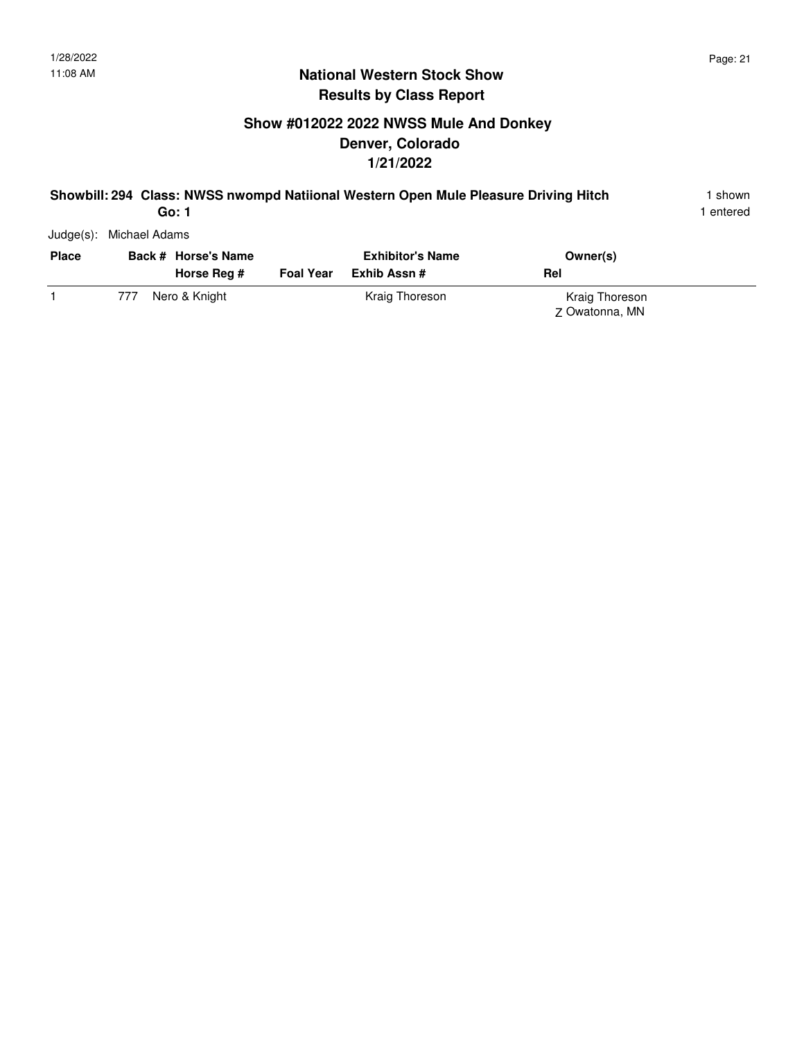# **Show #012022 2022 NWSS Mule And Donkey Denver, Colorado 1/21/2022**

#### **Showbill: 294 Class: NWSS nwompd Natiional Western Open Mule Pleasure Driving Hitch** 1 shown **Go: 1**

1 entered

| <b>Place</b> |     | Back # Horse's Name<br>Horse Reg # | <b>Foal Year</b> | <b>Exhibitor's Name</b><br>Exhib Assn # | Owner(s)<br><b>Rel</b>           |  |
|--------------|-----|------------------------------------|------------------|-----------------------------------------|----------------------------------|--|
|              | 777 | Nero & Knight                      |                  | Kraig Thoreson                          | Kraig Thoreson<br>Z Owatonna, MN |  |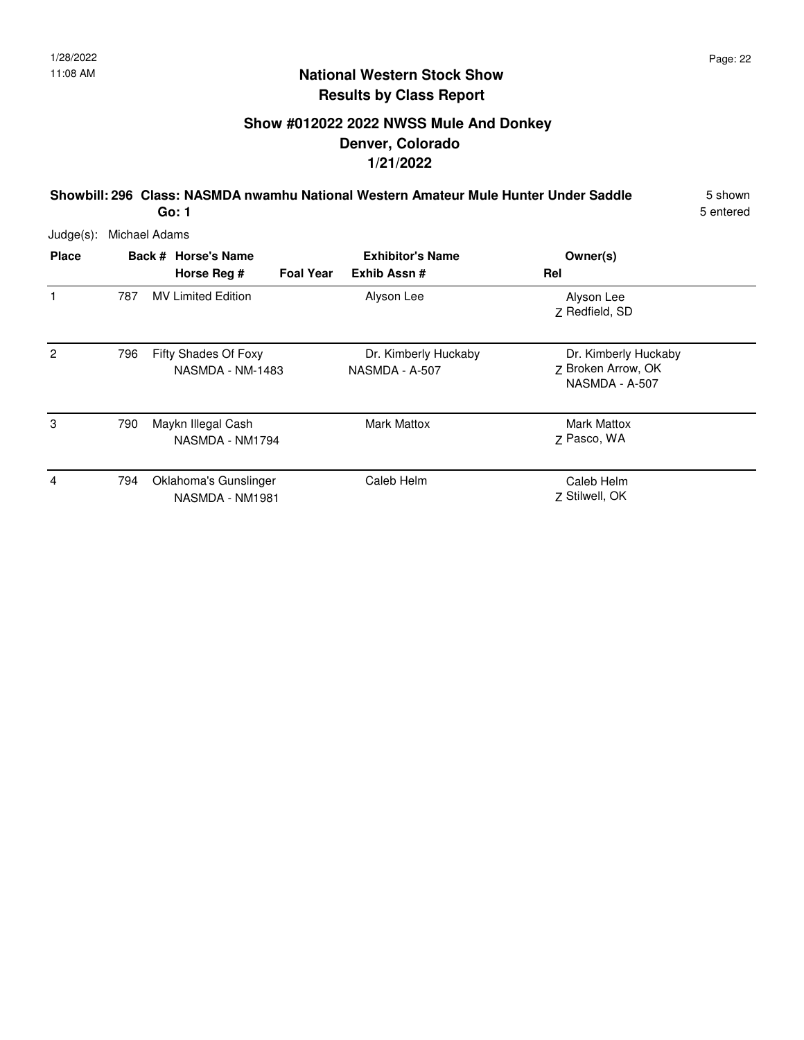# **Show #012022 2022 NWSS Mule And Donkey Denver, Colorado 1/21/2022**

**Showbill: 296 Class: NASMDA nwamhu National Western Amateur Mule Hunter Under Saddle** 5 shown **Go: 1**

5 entered

| <b>Place</b>   |     | Back # Horse's Name                      | <b>Exhibitor's Name</b> |                                        |     | Owner(s)                                                     |
|----------------|-----|------------------------------------------|-------------------------|----------------------------------------|-----|--------------------------------------------------------------|
|                |     | Horse Reg #                              | <b>Foal Year</b>        | Exhib Assn#                            | Rel |                                                              |
| 1              | 787 | <b>MV Limited Edition</b>                |                         | Alyson Lee                             |     | Alyson Lee<br>Z Redfield, SD                                 |
| $\overline{c}$ | 796 | Fifty Shades Of Foxy<br>NASMDA - NM-1483 |                         | Dr. Kimberly Huckaby<br>NASMDA - A-507 |     | Dr. Kimberly Huckaby<br>Z Broken Arrow, OK<br>NASMDA - A-507 |
| 3              | 790 | Maykn Illegal Cash<br>NASMDA - NM1794    |                         | <b>Mark Mattox</b>                     |     | Mark Mattox<br>Z Pasco, WA                                   |
| 4              | 794 | Oklahoma's Gunslinger<br>NASMDA - NM1981 |                         | Caleb Helm                             |     | Caleb Helm<br>Z Stilwell, OK                                 |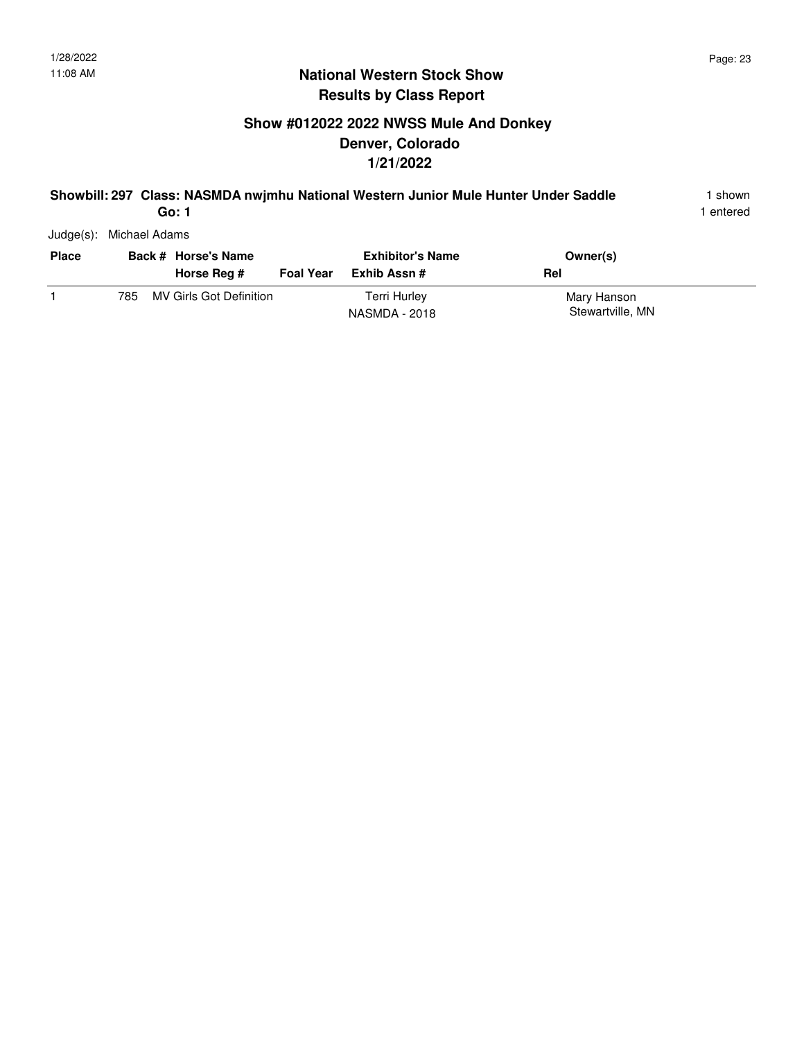# **Show #012022 2022 NWSS Mule And Donkey Denver, Colorado 1/21/2022**

#### **Showbill: 297 Class: NASMDA nwjmhu National Western Junior Mule Hunter Under Saddle** 1 shown **Go: 1**

1 entered

| <b>Place</b> |     | Back # Horse's Name<br>Horse Reg # | <b>Foal Year</b> | <b>Exhibitor's Name</b><br>Exhib Assn # | Owner(s)<br>Rel                 |  |
|--------------|-----|------------------------------------|------------------|-----------------------------------------|---------------------------------|--|
|              | 785 | MV Girls Got Definition            |                  | Terri Hurley<br>NASMDA - 2018           | Mary Hanson<br>Stewartville, MN |  |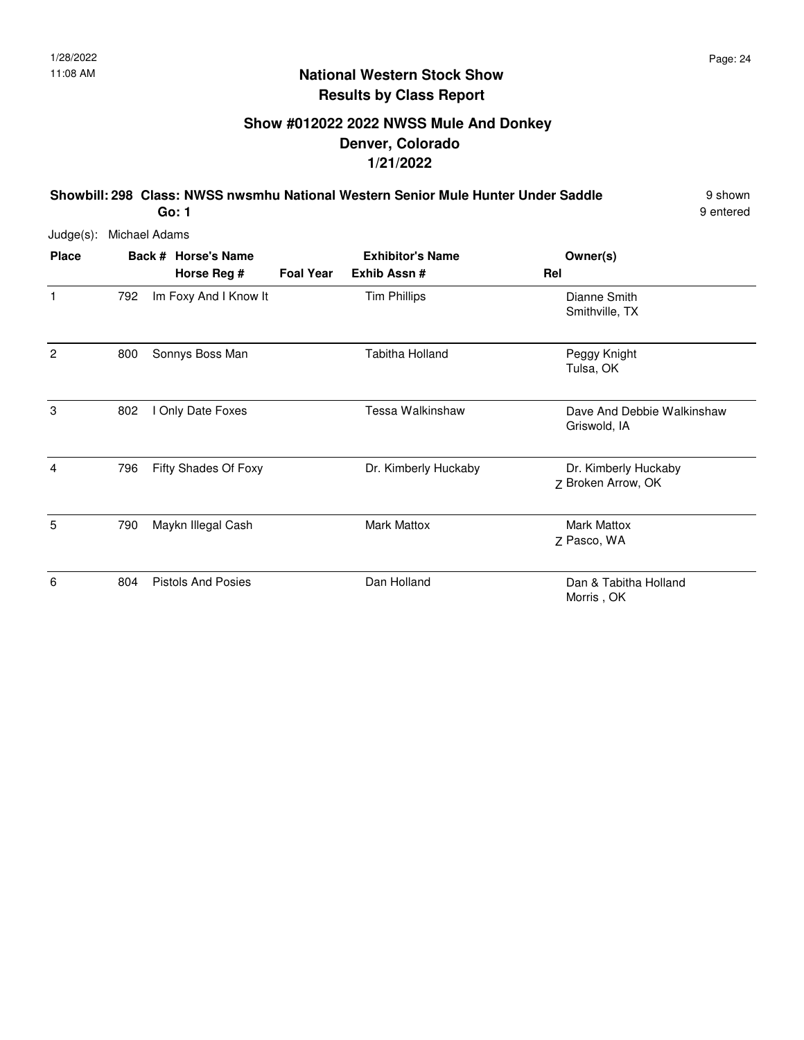# **Show #012022 2022 NWSS Mule And Donkey Denver, Colorado 1/21/2022**

**Showbill: 298 Class: NWSS nwsmhu National Western Senior Mule Hunter Under Saddle** 9 shown **Go: 1**

9 entered

| <b>Place</b>   |     | Back # Horse's Name<br>Horse Reg # | <b>Foal Year</b> | <b>Exhibitor's Name</b><br>Exhib Assn # | Owner(s)<br>Rel                            |
|----------------|-----|------------------------------------|------------------|-----------------------------------------|--------------------------------------------|
| $\mathbf{1}$   | 792 | Im Foxy And I Know It              |                  | <b>Tim Phillips</b>                     | Dianne Smith<br>Smithville, TX             |
| $\overline{c}$ | 800 | Sonnys Boss Man                    |                  | Tabitha Holland                         | Peggy Knight<br>Tulsa, OK                  |
| 3              | 802 | I Only Date Foxes                  |                  | Tessa Walkinshaw                        | Dave And Debbie Walkinshaw<br>Griswold, IA |
| 4              | 796 | Fifty Shades Of Foxy               |                  | Dr. Kimberly Huckaby                    | Dr. Kimberly Huckaby<br>Z Broken Arrow, OK |
| 5              | 790 | Maykn Illegal Cash                 |                  | <b>Mark Mattox</b>                      | <b>Mark Mattox</b><br>Z Pasco, WA          |
| 6              | 804 | <b>Pistols And Posies</b>          |                  | Dan Holland                             | Dan & Tabitha Holland<br>Morris, OK        |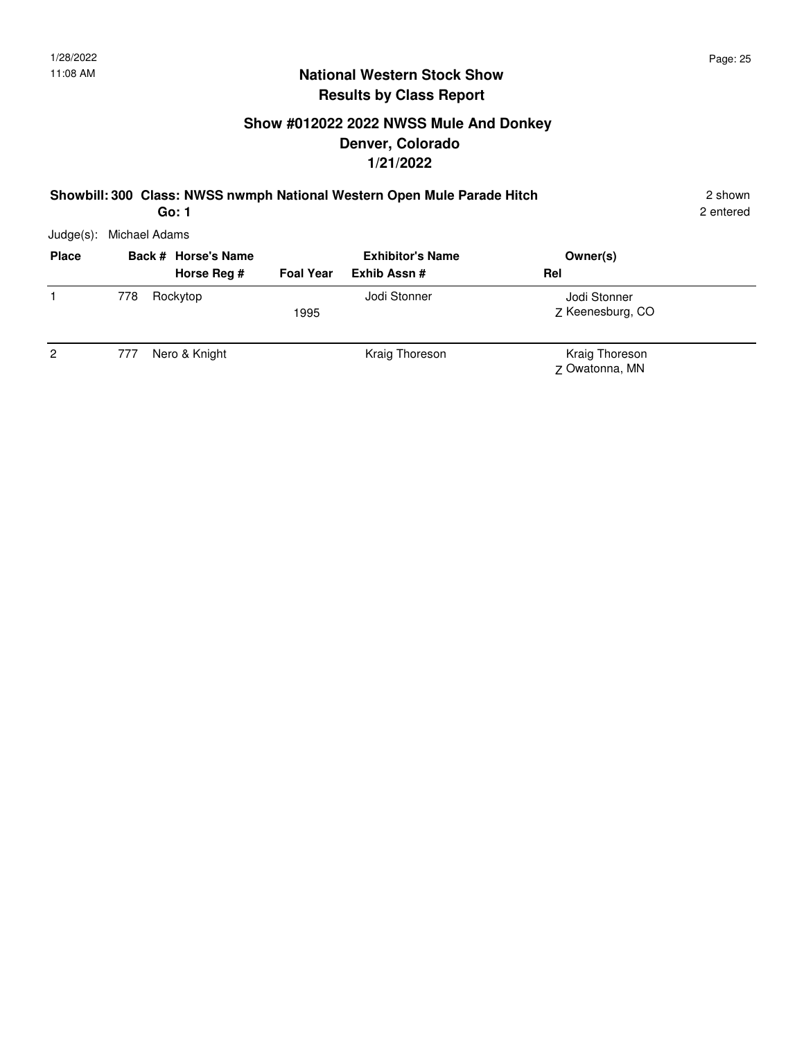# **Show #012022 2022 NWSS Mule And Donkey Denver, Colorado 1/21/2022**

#### **Showbill: 300 Class: NWSS nwmph National Western Open Mule Parade Hitch** 2 shown

2 entered

Judge(s): Michael Adams

| <b>Place</b> |     | Back # Horse's Name | <b>Exhibitor's Name</b> |                | Owner(s)                         |  |
|--------------|-----|---------------------|-------------------------|----------------|----------------------------------|--|
|              |     | Horse Reg #         | <b>Foal Year</b>        | Exhib Assn#    | Rel                              |  |
|              | 778 | Rockytop            | 1995                    | Jodi Stonner   | Jodi Stonner<br>Z Keenesburg, CO |  |
| 2            | 777 | Nero & Knight       |                         | Kraig Thoreson | Kraig Thoreson<br>Z Owatonna, MN |  |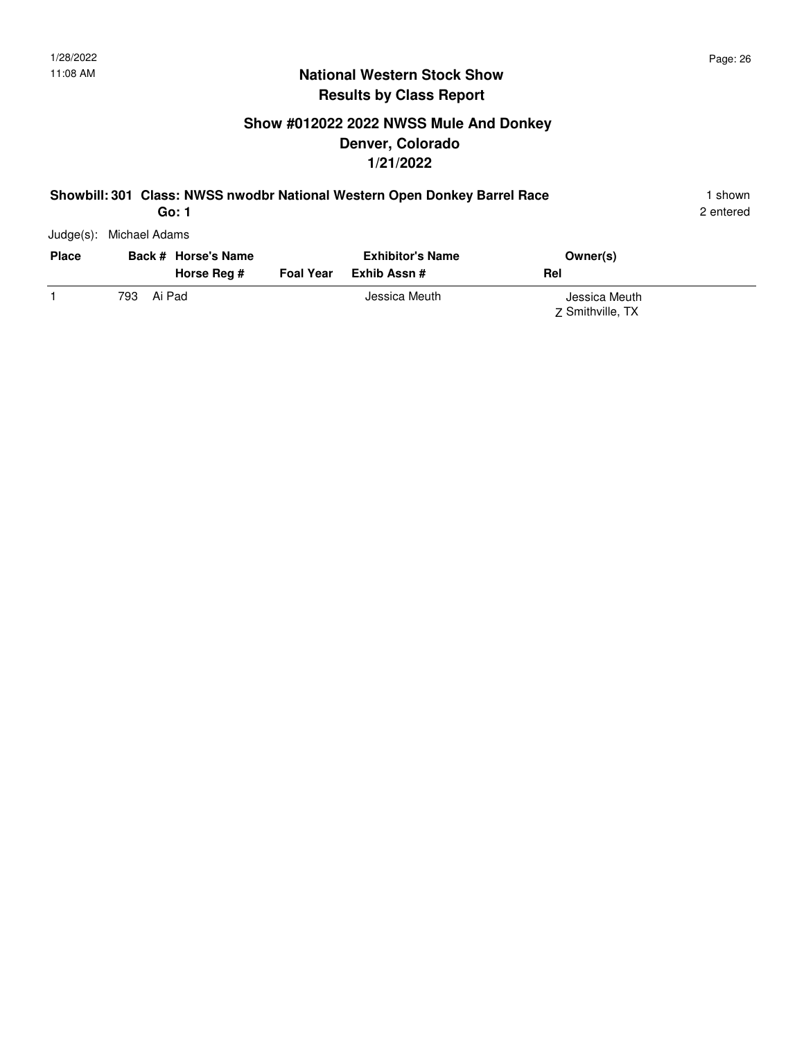# **Show #012022 2022 NWSS Mule And Donkey Denver, Colorado 1/21/2022**

#### **Showbill: 301 Class: NWSS nwodbr National Western Open Donkey Barrel Race** 1 shown

2 entered

Judge(s): Michael Adams

| <b>Place</b> | Back # Horse's Name<br>Horse Reg # | <b>Foal Year</b> | <b>Exhibitor's Name</b><br>Exhib Assn # | Owner(s)<br>Rel                   |
|--------------|------------------------------------|------------------|-----------------------------------------|-----------------------------------|
|              | Ai Pad<br>793.                     |                  | Jessica Meuth                           | Jessica Meuth<br>7 Smithville, TX |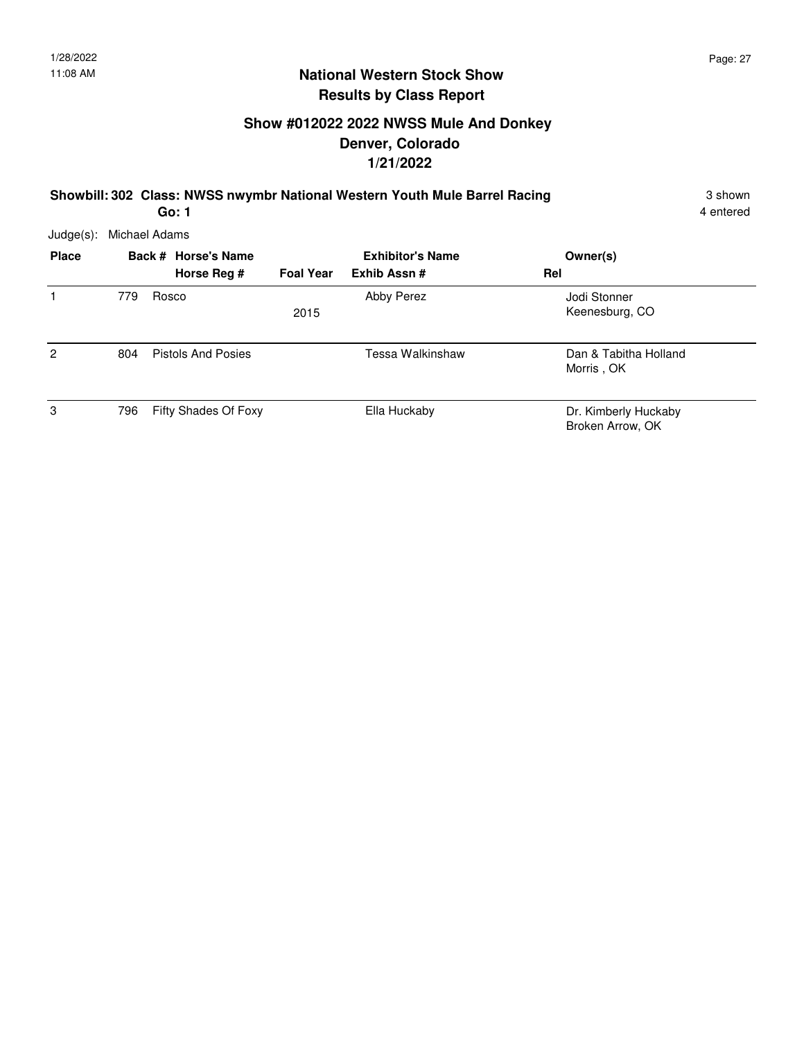### **Show #012022 2022 NWSS Mule And Donkey Denver, Colorado 1/21/2022**

**Showbill: 302 Class: NWSS nwymbr National Western Youth Mule Barrel Racing** 3 Shown 3 shown

4 entered

| Judge(s): Michael Adams |  |
|-------------------------|--|
|                         |  |

| <b>Place</b>   | Back # Horse's Name |                           | <b>Exhibitor's Name</b> |                  | Owner(s)                                 |
|----------------|---------------------|---------------------------|-------------------------|------------------|------------------------------------------|
|                |                     | Horse Reg #               | <b>Foal Year</b>        | Exhib Assn#      | Rel                                      |
|                | 779                 | Rosco                     | 2015                    | Abby Perez       | Jodi Stonner<br>Keenesburg, CO           |
| $\overline{2}$ | 804                 | <b>Pistols And Posies</b> |                         | Tessa Walkinshaw | Dan & Tabitha Holland<br>Morris, OK      |
| 3              | 796                 | Fifty Shades Of Foxy      |                         | Ella Huckaby     | Dr. Kimberly Huckaby<br>Broken Arrow, OK |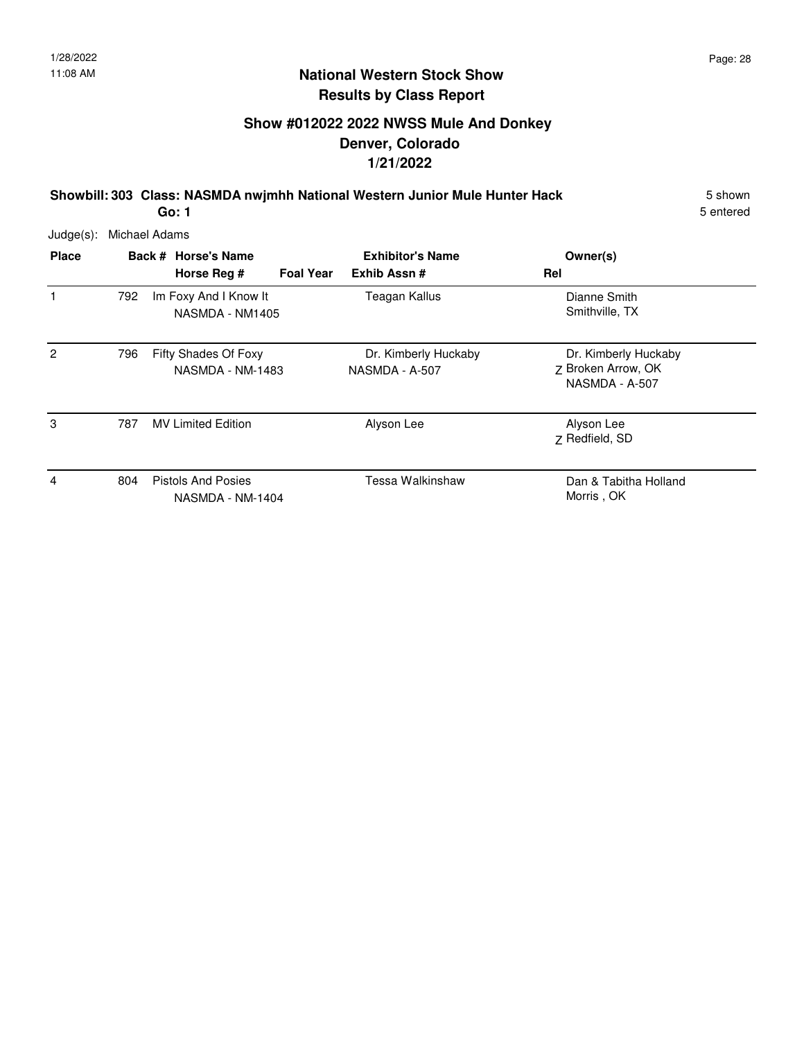# **Show #012022 2022 NWSS Mule And Donkey Denver, Colorado 1/21/2022**

**Showbill: 303 Class: NASMDA nwjmhh National Western Junior Mule Hunter Hack** 5 Shown

5 entered

Judge(s): Michael Adams

| <b>Place</b>   |     | Back # Horse's Name<br>Horse Reg #            | <b>Foal Year</b> | <b>Exhibitor's Name</b><br>Exhib Assn# | Owner(s)<br>Rel                                              |
|----------------|-----|-----------------------------------------------|------------------|----------------------------------------|--------------------------------------------------------------|
| 1              | 792 | Im Foxy And I Know It<br>NASMDA - NM1405      |                  | Teagan Kallus                          | Dianne Smith<br>Smithville, TX                               |
| $\overline{2}$ | 796 | Fifty Shades Of Foxy<br>NASMDA - NM-1483      |                  | Dr. Kimberly Huckaby<br>NASMDA - A-507 | Dr. Kimberly Huckaby<br>Z Broken Arrow, OK<br>NASMDA - A-507 |
| 3              | 787 | <b>MV Limited Edition</b>                     |                  | Alyson Lee                             | Alyson Lee<br>Z Redfield, SD                                 |
| 4              | 804 | <b>Pistols And Posies</b><br>NASMDA - NM-1404 |                  | Tessa Walkinshaw                       | Dan & Tabitha Holland<br>Morris, OK                          |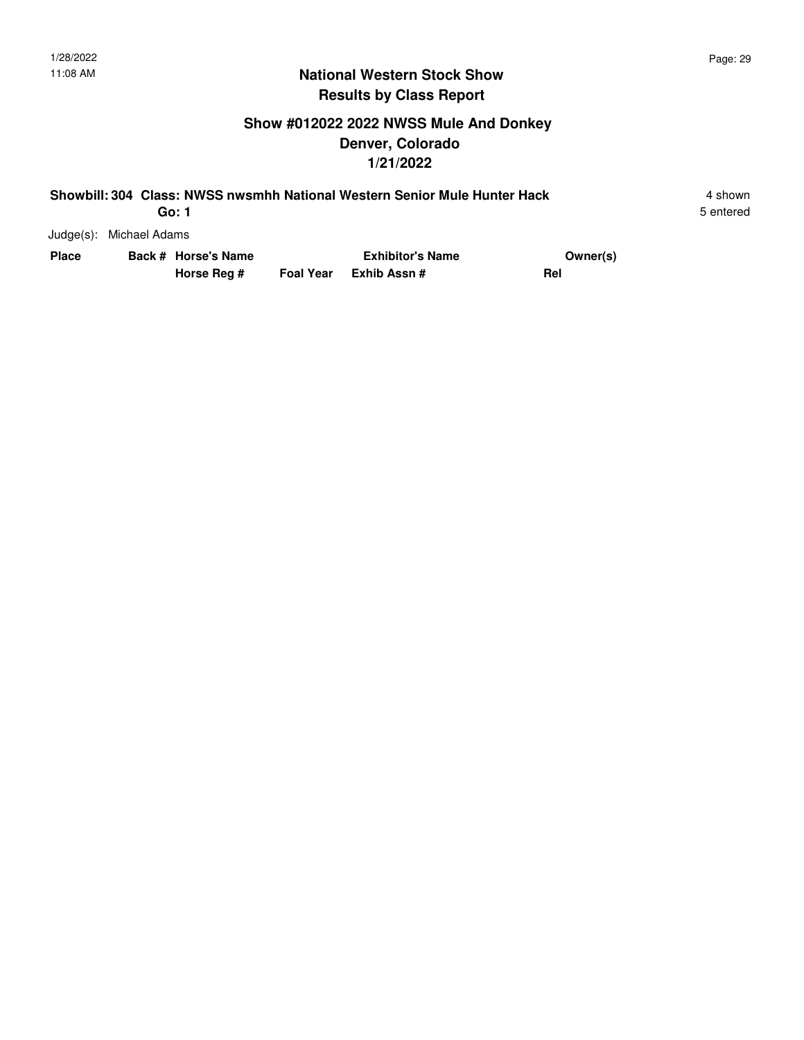5 entered

### **National Western Stock Show Results by Class Report**

# **Show #012022 2022 NWSS Mule And Donkey Denver, Colorado 1/21/2022**

| Showbill: 304 Class: NWSS nwsmhh National Western Senior Mule Hunter Hack |                         |                         |          |           |  |
|---------------------------------------------------------------------------|-------------------------|-------------------------|----------|-----------|--|
|                                                                           | Go: 1                   |                         |          | 5 entered |  |
|                                                                           | Judge(s): Michael Adams |                         |          |           |  |
| <b>Place</b>                                                              | Back # Horse's Name     | <b>Exhibitor's Name</b> | Owner(s) |           |  |

| Place | Back # Horse's Name | <b>Exhibitor's Name</b> | Owner(s) |
|-------|---------------------|-------------------------|----------|
|       | Horse Reg #         | Foal Year Exhib Assn#   | Rel      |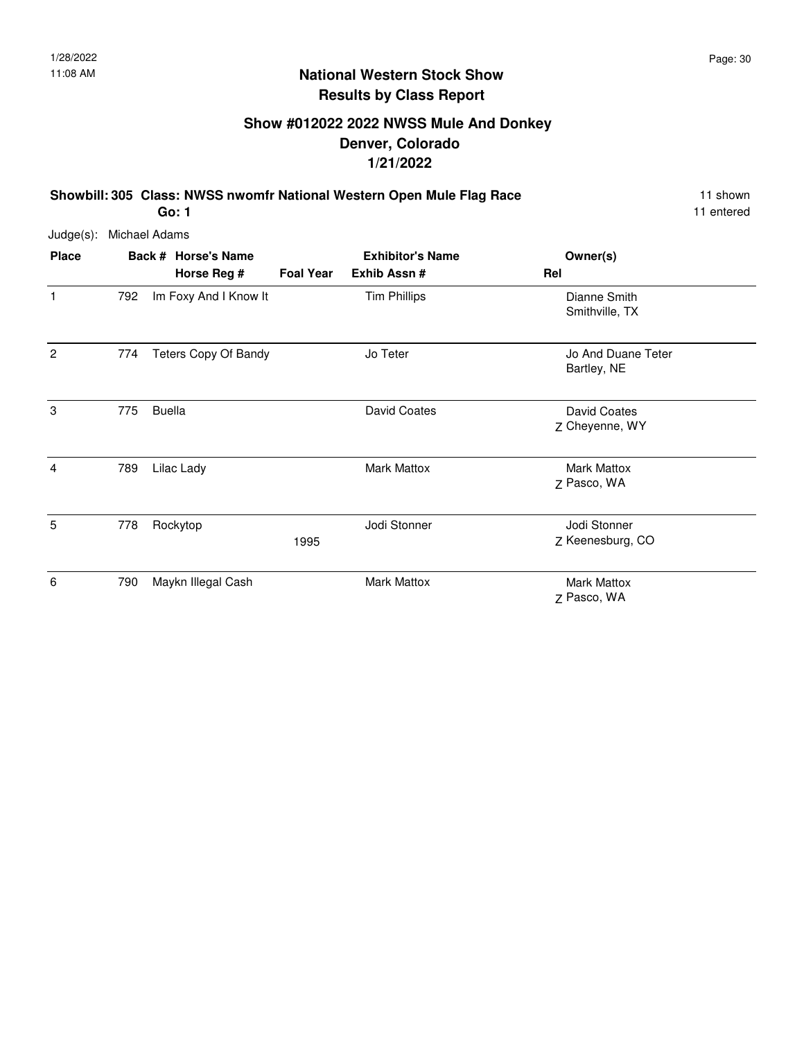# **Show #012022 2022 NWSS Mule And Donkey Denver, Colorado 1/21/2022**

**Showbill: 305 Class: NWSS nwomfr National Western Open Mule Flag Race** 11 Shown **Go: 1**

11 entered

| Judge(s): | Michael Adams |
|-----------|---------------|
|           |               |

| <b>Place</b>   |     | Back # Horse's Name<br>Horse Reg # | <b>Foal Year</b> | <b>Exhibitor's Name</b><br>Exhib Assn# | Owner(s)<br>Rel                   |
|----------------|-----|------------------------------------|------------------|----------------------------------------|-----------------------------------|
| $\mathbf{1}$   | 792 | Im Foxy And I Know It              |                  | <b>Tim Phillips</b>                    | Dianne Smith<br>Smithville, TX    |
| $\overline{2}$ | 774 | <b>Teters Copy Of Bandy</b>        |                  | Jo Teter                               | Jo And Duane Teter<br>Bartley, NE |
| 3              | 775 | <b>Buella</b>                      |                  | David Coates                           | David Coates<br>Z Cheyenne, WY    |
| $\overline{4}$ | 789 | Lilac Lady                         |                  | <b>Mark Mattox</b>                     | <b>Mark Mattox</b><br>Z Pasco, WA |
| 5              | 778 | Rockytop                           | 1995             | Jodi Stonner                           | Jodi Stonner<br>Z Keenesburg, CO  |
| 6              | 790 | Maykn Illegal Cash                 |                  | <b>Mark Mattox</b>                     | <b>Mark Mattox</b><br>Z Pasco, WA |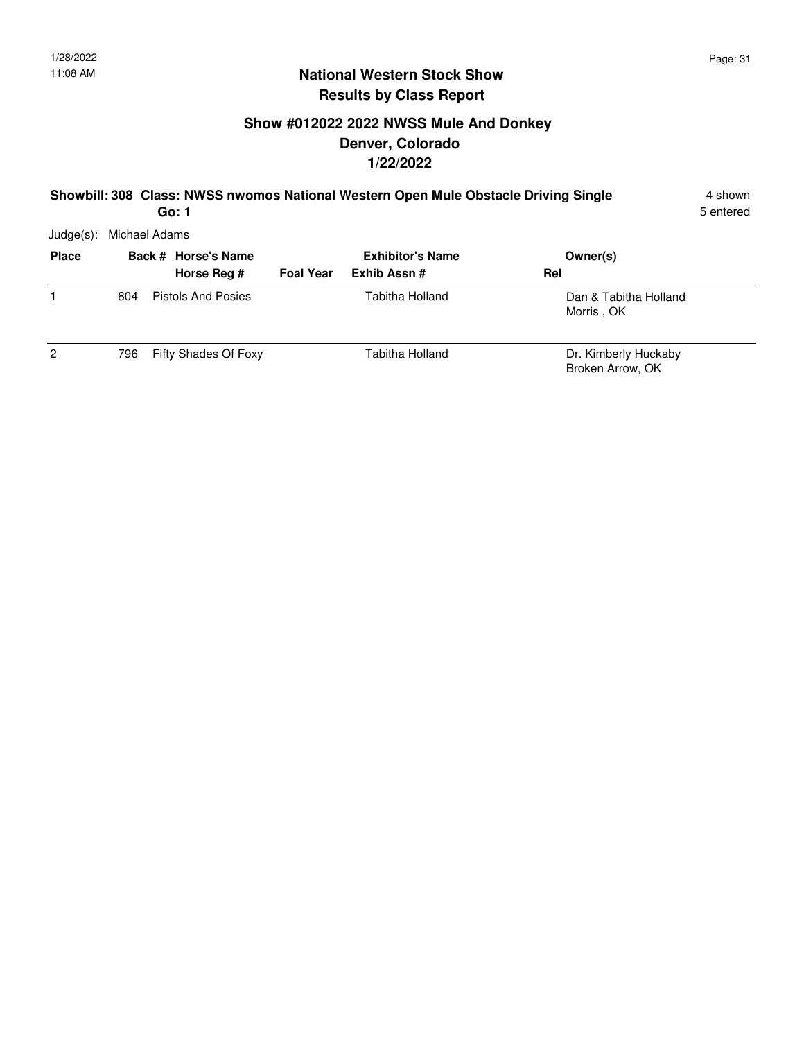### **Show #012022 2022 NWSS Mule And Donkey Denver, Colorado 1/22/2022**

#### **Showbill: 308 Class: NWSS nwomos National Western Open Mule Obstacle Driving Single** 4 shown **Go: 1**

5 entered

| <b>Place</b>   |      | Back # Horse's Name  |                  | <b>Exhibitor's Name</b> | Owner(s)                                 |
|----------------|------|----------------------|------------------|-------------------------|------------------------------------------|
|                |      | Horse Reg #          | <b>Foal Year</b> | Exhib Assn #            | Rel                                      |
|                | 804  | Pistols And Posies   |                  | Tabitha Holland         | Dan & Tabitha Holland<br>Morris, OK      |
| $\overline{2}$ | 796. | Fifty Shades Of Foxy |                  | Tabitha Holland         | Dr. Kimberly Huckaby<br>Broken Arrow, OK |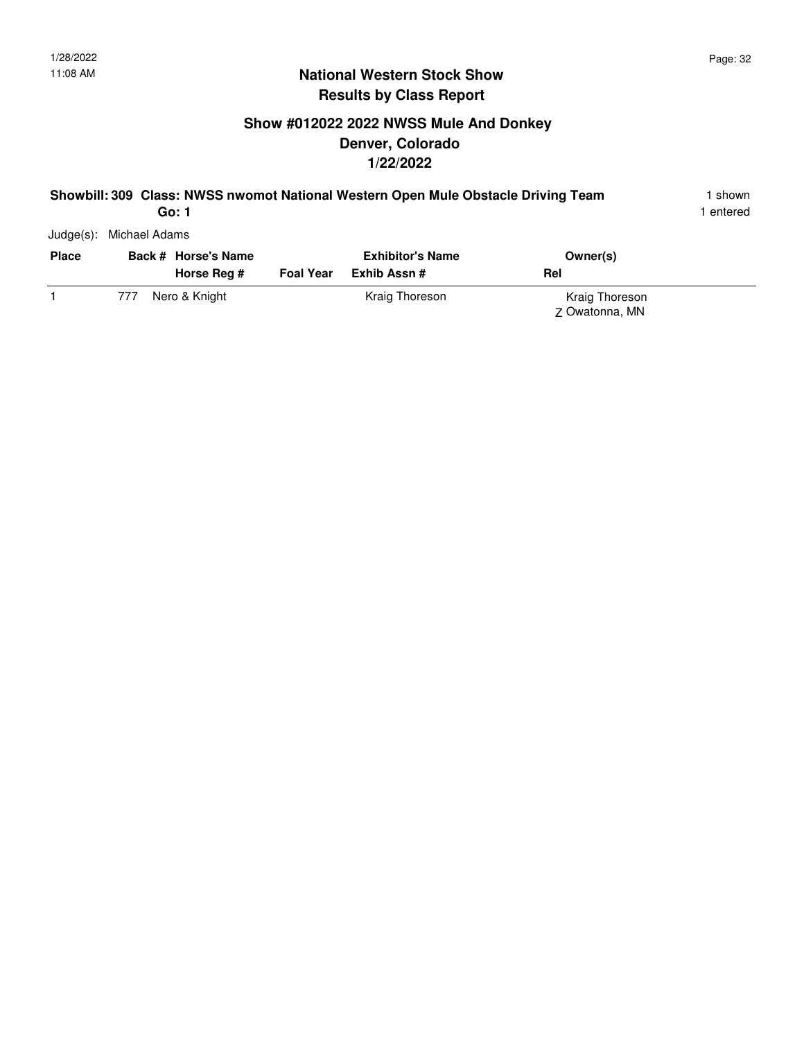# **Show #012022 2022 NWSS Mule And Donkey Denver, Colorado 1/22/2022**

#### **Showbill: 309 Class: NWSS nwomot National Western Open Mule Obstacle Driving Team** 1 shown

1 entered

Judge(s): Michael Adams

| <b>Place</b> |     | Back # Horse's Name<br>Horse Reg # | <b>Foal Year</b> | <b>Exhibitor's Name</b><br>Exhib Assn # | Owner(s)<br>Rel                  |  |
|--------------|-----|------------------------------------|------------------|-----------------------------------------|----------------------------------|--|
|              | 777 | Nero & Knight                      |                  | Kraig Thoreson                          | Kraig Thoreson<br>Z Owatonna, MN |  |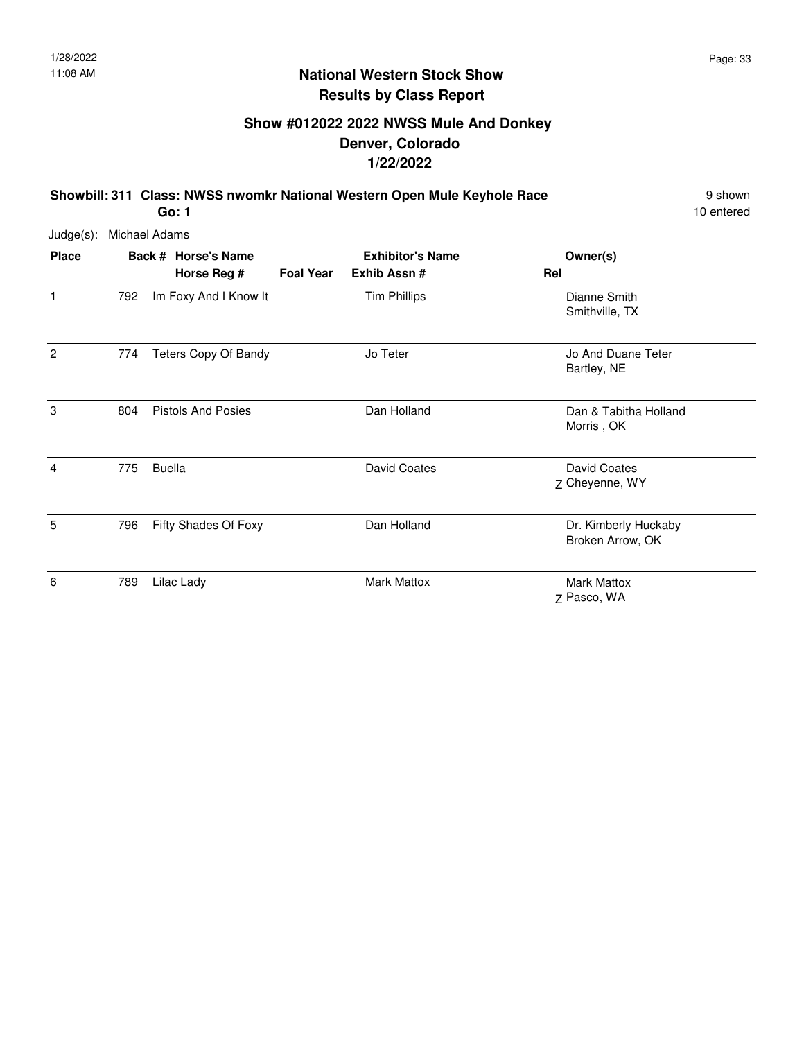# **Show #012022 2022 NWSS Mule And Donkey Denver, Colorado 1/22/2022**

**Showbill: 311 Class: NWSS nwomkr National Western Open Mule Keyhole Race** 9 Shown

10 entered

| Judge(s): | Michael Adams |
|-----------|---------------|
|           |               |

| <b>Place</b>   |     | Back # Horse's Name<br>Horse Reg # | <b>Foal Year</b> | <b>Exhibitor's Name</b><br>Exhib Assn# | Owner(s)<br>Rel                          |
|----------------|-----|------------------------------------|------------------|----------------------------------------|------------------------------------------|
| 1              | 792 | Im Foxy And I Know It              |                  | <b>Tim Phillips</b>                    | Dianne Smith<br>Smithville, TX           |
| $\overline{2}$ | 774 | <b>Teters Copy Of Bandy</b>        |                  | Jo Teter                               | Jo And Duane Teter<br>Bartley, NE        |
| 3              | 804 | <b>Pistols And Posies</b>          |                  | Dan Holland                            | Dan & Tabitha Holland<br>Morris, OK      |
| $\overline{4}$ | 775 | <b>Buella</b>                      |                  | David Coates                           | David Coates<br>Z Cheyenne, WY           |
| 5              | 796 | Fifty Shades Of Foxy               |                  | Dan Holland                            | Dr. Kimberly Huckaby<br>Broken Arrow, OK |
| 6              | 789 | Lilac Lady                         |                  | Mark Mattox                            | <b>Mark Mattox</b><br>Z Pasco, WA        |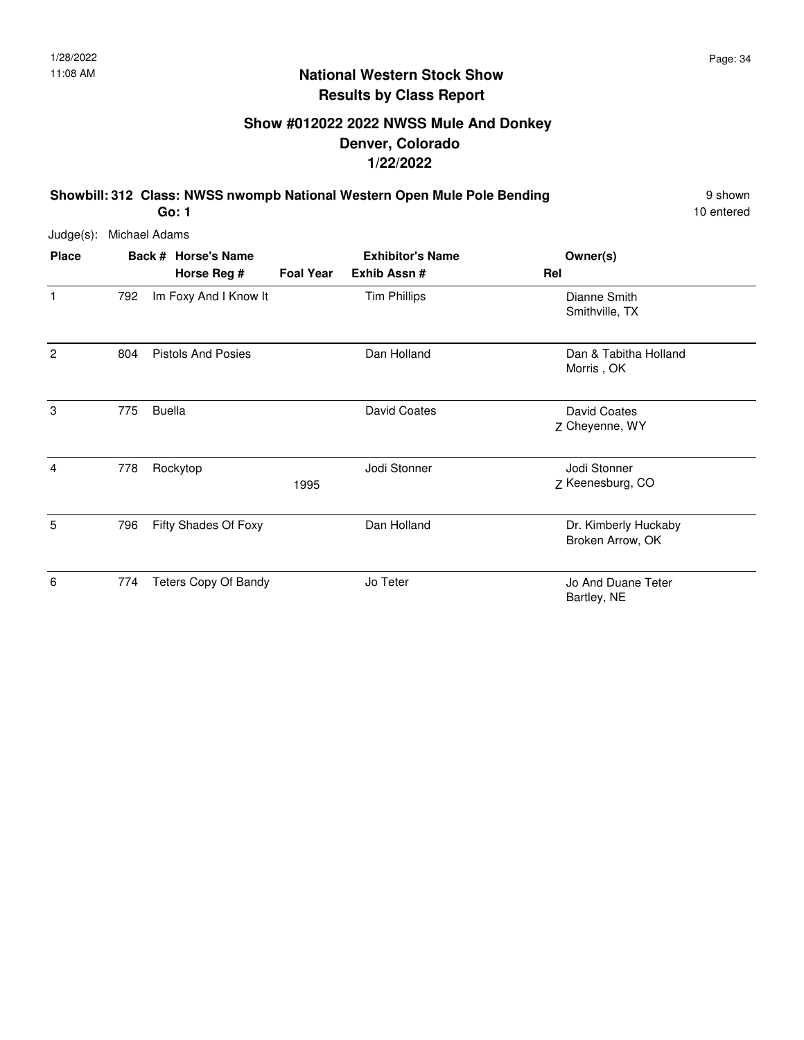# **Show #012022 2022 NWSS Mule And Donkey Denver, Colorado 1/22/2022**

**Showbill: 312 Class: NWSS nwompb National Western Open Mule Pole Bending** 9 Shown

10 entered

Judge(s): Michael Adams

| <b>Place</b>   |     | Back # Horse's Name<br>Horse Reg # | <b>Foal Year</b> | <b>Exhibitor's Name</b><br>Exhib Assn# | Owner(s)<br>Rel                          |
|----------------|-----|------------------------------------|------------------|----------------------------------------|------------------------------------------|
| 1              | 792 | Im Foxy And I Know It              |                  | <b>Tim Phillips</b>                    | Dianne Smith<br>Smithville, TX           |
| $\overline{c}$ | 804 | <b>Pistols And Posies</b>          |                  | Dan Holland                            | Dan & Tabitha Holland<br>Morris, OK      |
| 3              | 775 | <b>Buella</b>                      |                  | David Coates                           | David Coates<br>Z Cheyenne, WY           |
| 4              | 778 | Rockytop                           | 1995             | Jodi Stonner                           | Jodi Stonner<br>Z Keenesburg, CO         |
| 5              | 796 | Fifty Shades Of Foxy               |                  | Dan Holland                            | Dr. Kimberly Huckaby<br>Broken Arrow, OK |
| 6              | 774 | Teters Copy Of Bandy               |                  | Jo Teter                               | Jo And Duane Teter<br>Bartley, NE        |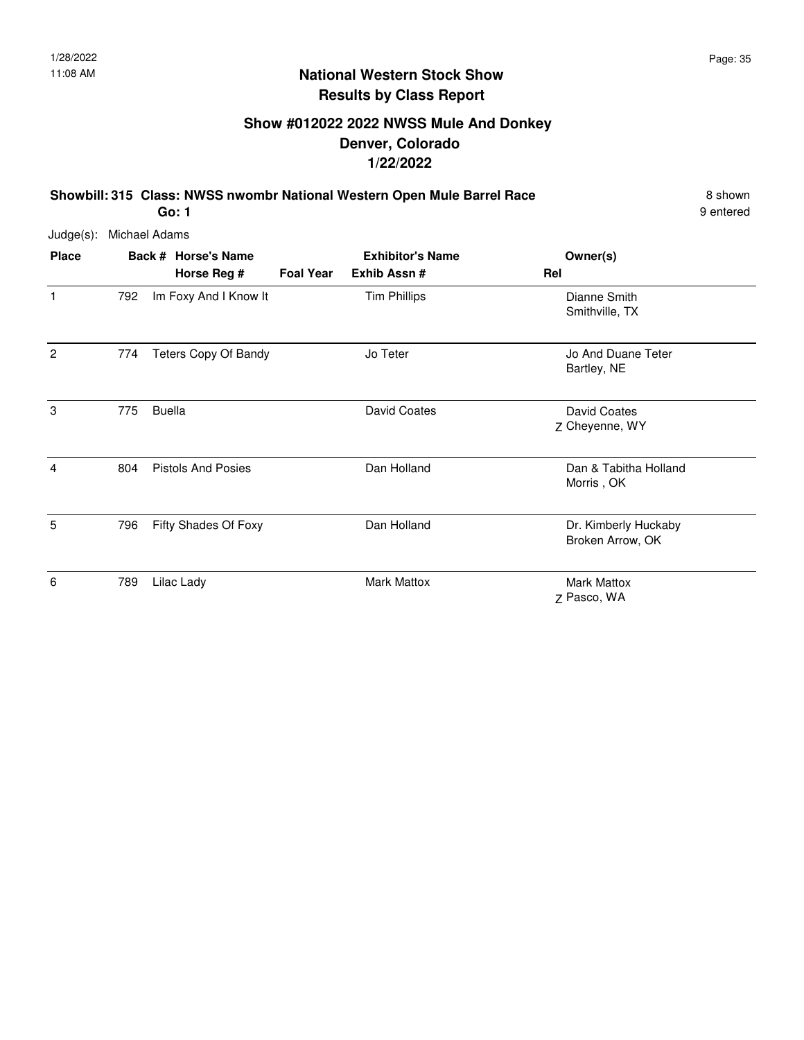# **Show #012022 2022 NWSS Mule And Donkey Denver, Colorado 1/22/2022**

**Showbill: 315 Class: NWSS nwombr National Western Open Mule Barrel Race** 8 shown

9 entered

Judge(s): Michael Adams

| <b>Place</b>   |     | Back # Horse's Name<br>Horse Reg # | <b>Foal Year</b> | <b>Exhibitor's Name</b><br>Exhib Assn# | Owner(s)<br>Rel                          |
|----------------|-----|------------------------------------|------------------|----------------------------------------|------------------------------------------|
| $\mathbf{1}$   | 792 | Im Foxy And I Know It              |                  | <b>Tim Phillips</b>                    | Dianne Smith<br>Smithville, TX           |
| $\overline{2}$ | 774 | <b>Teters Copy Of Bandy</b>        |                  | Jo Teter                               | Jo And Duane Teter<br>Bartley, NE        |
| 3              | 775 | <b>Buella</b>                      |                  | David Coates                           | David Coates<br>Z Cheyenne, WY           |
| 4              | 804 | <b>Pistols And Posies</b>          |                  | Dan Holland                            | Dan & Tabitha Holland<br>Morris, OK      |
| 5              | 796 | Fifty Shades Of Foxy               |                  | Dan Holland                            | Dr. Kimberly Huckaby<br>Broken Arrow, OK |
| 6              | 789 | Lilac Lady                         |                  | Mark Mattox                            | <b>Mark Mattox</b><br>Z Pasco, WA        |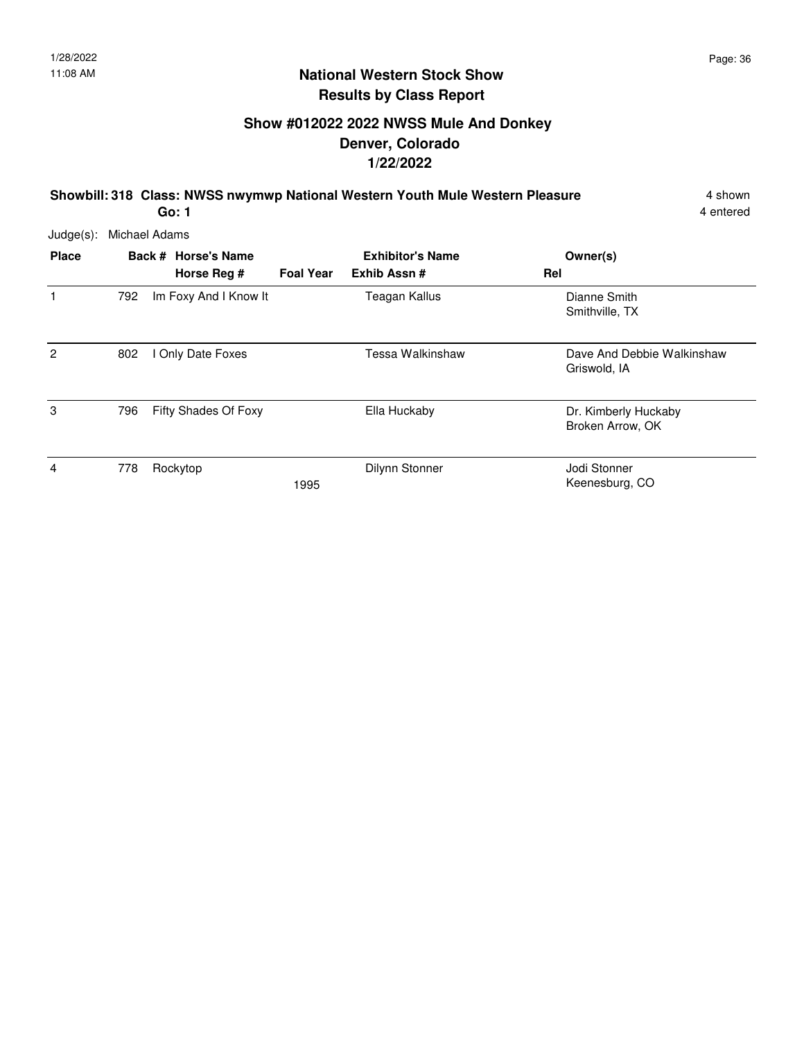# **Show #012022 2022 NWSS Mule And Donkey Denver, Colorado 1/22/2022**

**Showbill: 318 Class: NWSS nwymwp National Western Youth Mule Western Pleasure** 4 shown

4 entered

Judge(s): Michael Adams

| <b>Place</b>   |     | Back # Horse's Name<br>Horse Reg # | <b>Foal Year</b> | <b>Exhibitor's Name</b><br>Exhib Assn# | Owner(s)<br>Rel                            |
|----------------|-----|------------------------------------|------------------|----------------------------------------|--------------------------------------------|
| 1              | 792 | Im Foxy And I Know It              |                  | Teagan Kallus                          | Dianne Smith<br>Smithville, TX             |
| $\overline{c}$ | 802 | I Only Date Foxes                  |                  | Tessa Walkinshaw                       | Dave And Debbie Walkinshaw<br>Griswold, IA |
| 3              | 796 | Fifty Shades Of Foxy               |                  | Ella Huckaby                           | Dr. Kimberly Huckaby<br>Broken Arrow, OK   |
| 4              | 778 | Rockytop                           | 1995             | Dilynn Stonner                         | Jodi Stonner<br>Keenesburg, CO             |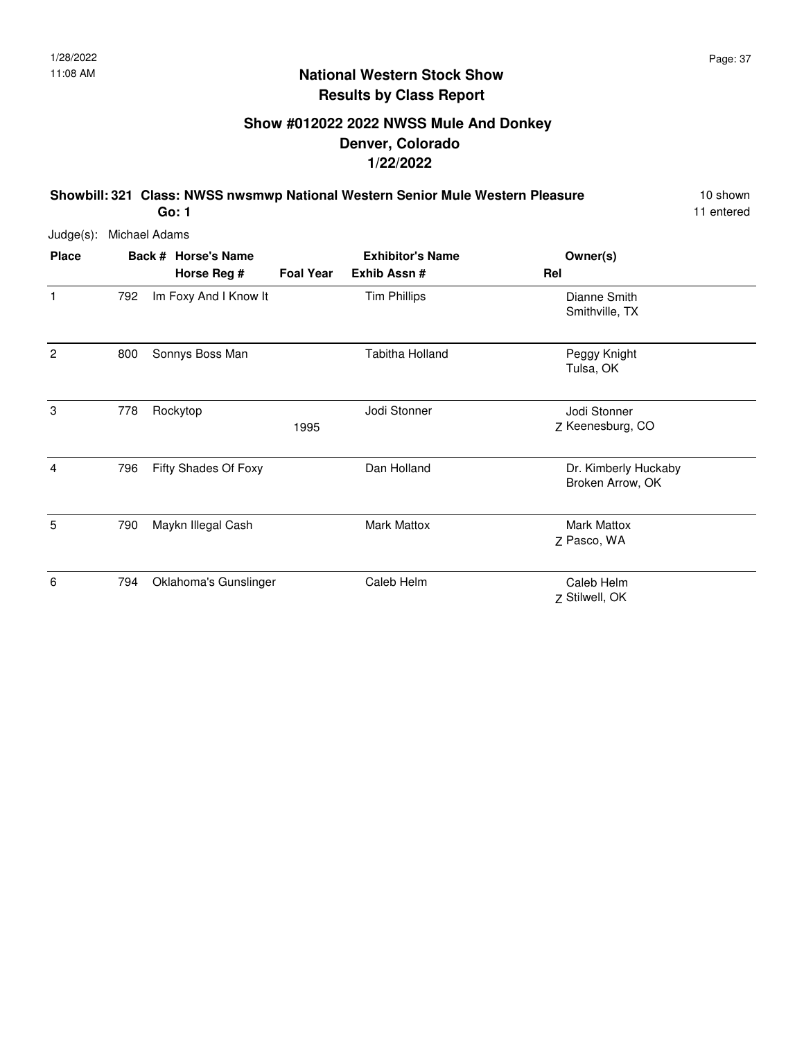# **Show #012022 2022 NWSS Mule And Donkey Denver, Colorado 1/22/2022**

**Showbill: 321 Class: NWSS nwsmwp National Western Senior Mule Western Pleasure** 10 shown

11 entered

Judge(s): Michael Adams

| <b>Place</b>   |     | Back # Horse's Name   |                  | <b>Exhibitor's Name</b> | Owner(s)                                 |
|----------------|-----|-----------------------|------------------|-------------------------|------------------------------------------|
|                |     | Horse Reg #           | <b>Foal Year</b> | Exhib Assn #            | Rel                                      |
| 1              | 792 | Im Foxy And I Know It |                  | <b>Tim Phillips</b>     | Dianne Smith<br>Smithville, TX           |
| $\overline{2}$ | 800 | Sonnys Boss Man       |                  | Tabitha Holland         | Peggy Knight<br>Tulsa, OK                |
| 3              | 778 | Rockytop              | 1995             | Jodi Stonner            | Jodi Stonner<br>Z Keenesburg, CO         |
| 4              | 796 | Fifty Shades Of Foxy  |                  | Dan Holland             | Dr. Kimberly Huckaby<br>Broken Arrow, OK |
| 5              | 790 | Maykn Illegal Cash    |                  | <b>Mark Mattox</b>      | <b>Mark Mattox</b><br>Z Pasco, WA        |
| 6              | 794 | Oklahoma's Gunslinger |                  | Caleb Helm              | Caleb Helm<br>Z Stilwell, OK             |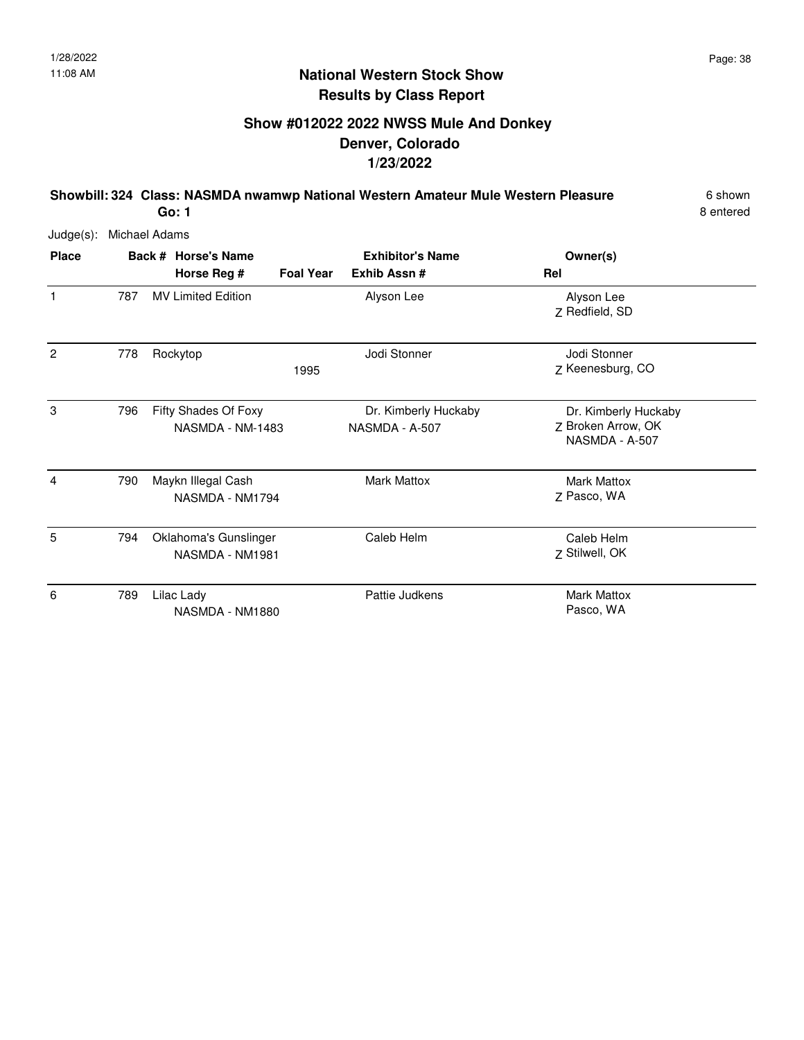# **Show #012022 2022 NWSS Mule And Donkey Denver, Colorado 1/23/2022**

**Showbill: 324 Class: NASMDA nwamwp National Western Amateur Mule Western Pleasure** 6 shown **Go: 1**

8 entered

| <b>Place</b>   |     | Back # Horse's Name                      | <b>Foal Year</b> | <b>Exhibitor's Name</b><br>Exhib Assn# | Owner(s)<br>Rel                                              |
|----------------|-----|------------------------------------------|------------------|----------------------------------------|--------------------------------------------------------------|
| $\mathbf{1}$   | 787 | Horse Reg #<br><b>MV Limited Edition</b> |                  | Alyson Lee                             | Alyson Lee                                                   |
|                |     |                                          |                  |                                        | Z Redfield, SD                                               |
| $\overline{2}$ | 778 | Rockytop                                 | 1995             | Jodi Stonner                           | Jodi Stonner<br>Z Keenesburg, CO                             |
| 3              | 796 | Fifty Shades Of Foxy<br>NASMDA - NM-1483 |                  | Dr. Kimberly Huckaby<br>NASMDA - A-507 | Dr. Kimberly Huckaby<br>Z Broken Arrow, OK<br>NASMDA - A-507 |
| 4              | 790 | Maykn Illegal Cash<br>NASMDA - NM1794    |                  | <b>Mark Mattox</b>                     | <b>Mark Mattox</b><br>Z Pasco, WA                            |
| 5              | 794 | Oklahoma's Gunslinger<br>NASMDA - NM1981 |                  | Caleb Helm                             | Caleb Helm<br>Z Stilwell, OK                                 |
| 6              | 789 | Lilac Lady<br>NASMDA - NM1880            |                  | Pattie Judkens                         | <b>Mark Mattox</b><br>Pasco, WA                              |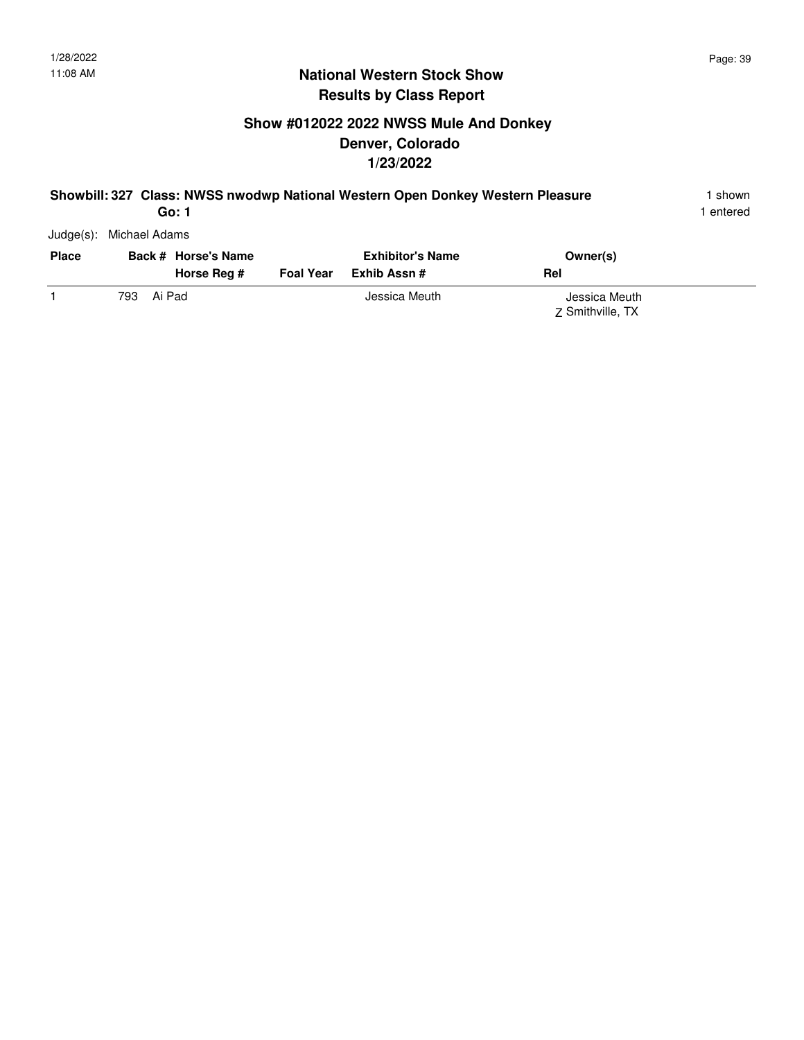# **Show #012022 2022 NWSS Mule And Donkey Denver, Colorado 1/23/2022**

#### **Showbill: 327 Class: NWSS nwodwp National Western Open Donkey Western Pleasure** 1 shown

1 entered

Judge(s): Michael Adams

| <b>Place</b> |      | Back # Horse's Name<br>Horse Rea # | <b>Foal Year</b> | <b>Exhibitor's Name</b><br>Exhib Assn # | Owner(s)<br>Rel                   |
|--------------|------|------------------------------------|------------------|-----------------------------------------|-----------------------------------|
|              | 793. | Ai Pad                             |                  | Jessica Meuth                           | Jessica Meuth<br>7 Smithville, TX |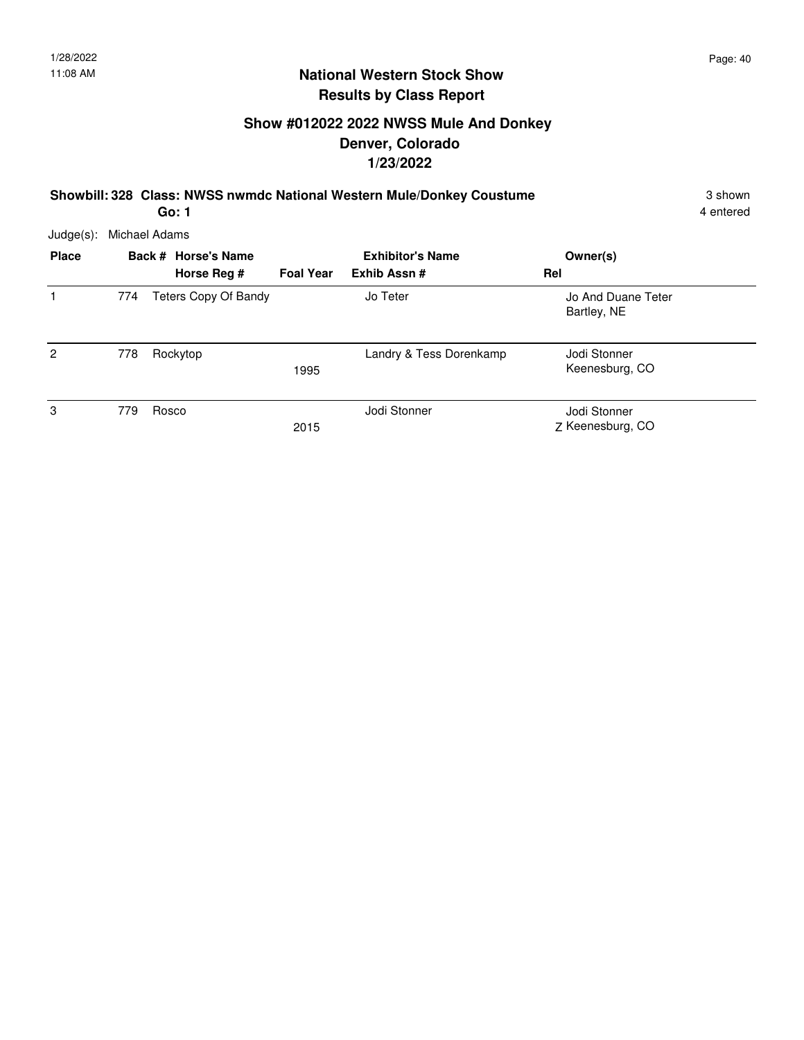# **Show #012022 2022 NWSS Mule And Donkey Denver, Colorado 1/23/2022**

**Showbill: 328 Class: NWSS nwmdc National Western Mule/Donkey Coustume** 3 shown

**Go: 1**

4 entered

| Judge(s):      | Michael Adams |                      |                  |                         |                                   |  |  |  |  |
|----------------|---------------|----------------------|------------------|-------------------------|-----------------------------------|--|--|--|--|
| <b>Place</b>   |               | Back # Horse's Name  |                  | <b>Exhibitor's Name</b> | Owner(s)                          |  |  |  |  |
|                |               | Horse Reg #          | <b>Foal Year</b> | Exhib Assn#             | Rel                               |  |  |  |  |
|                | 774           | Teters Copy Of Bandy |                  | Jo Teter                | Jo And Duane Teter<br>Bartley, NE |  |  |  |  |
| $\overline{2}$ | 778           | Rockytop             | 1995             | Landry & Tess Dorenkamp | Jodi Stonner<br>Keenesburg, CO    |  |  |  |  |
| 3              | 779           | Rosco                | 2015             | Jodi Stonner            | Jodi Stonner<br>Z Keenesburg, CO  |  |  |  |  |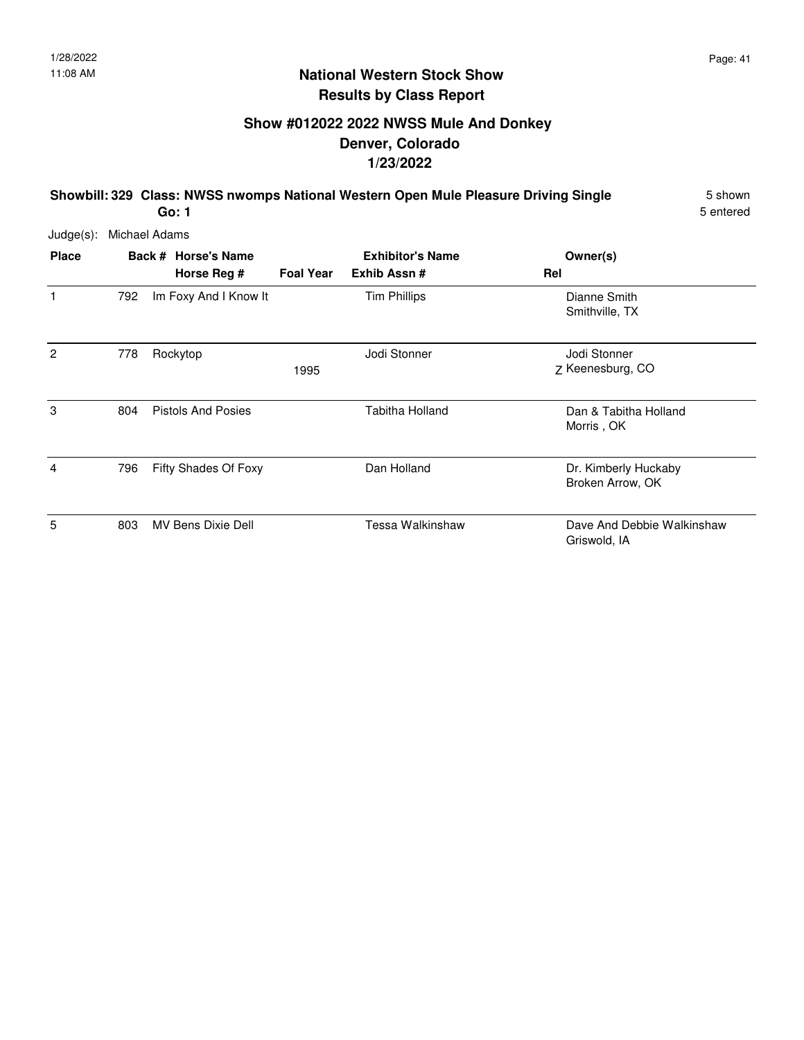# **Show #012022 2022 NWSS Mule And Donkey Denver, Colorado 1/23/2022**

**Showbill: 329 Class: NWSS nwomps National Western Open Mule Pleasure Driving Single** 5 shown **Go: 1**

5 entered

| <b>Place</b>   |     | Back # Horse's Name<br>Horse Reg # | <b>Foal Year</b> | <b>Exhibitor's Name</b><br>Exhib Assn# | Owner(s)<br>Rel                            |
|----------------|-----|------------------------------------|------------------|----------------------------------------|--------------------------------------------|
| 1              | 792 | Im Foxy And I Know It              |                  | <b>Tim Phillips</b>                    | Dianne Smith<br>Smithville, TX             |
| $\overline{2}$ | 778 | Rockytop                           | 1995             | Jodi Stonner                           | Jodi Stonner<br>Z Keenesburg, CO           |
| 3              | 804 | <b>Pistols And Posies</b>          |                  | Tabitha Holland                        | Dan & Tabitha Holland<br>Morris, OK        |
| 4              | 796 | Fifty Shades Of Foxy               |                  | Dan Holland                            | Dr. Kimberly Huckaby<br>Broken Arrow, OK   |
| 5              | 803 | MV Bens Dixie Dell                 |                  | Tessa Walkinshaw                       | Dave And Debbie Walkinshaw<br>Griswold, IA |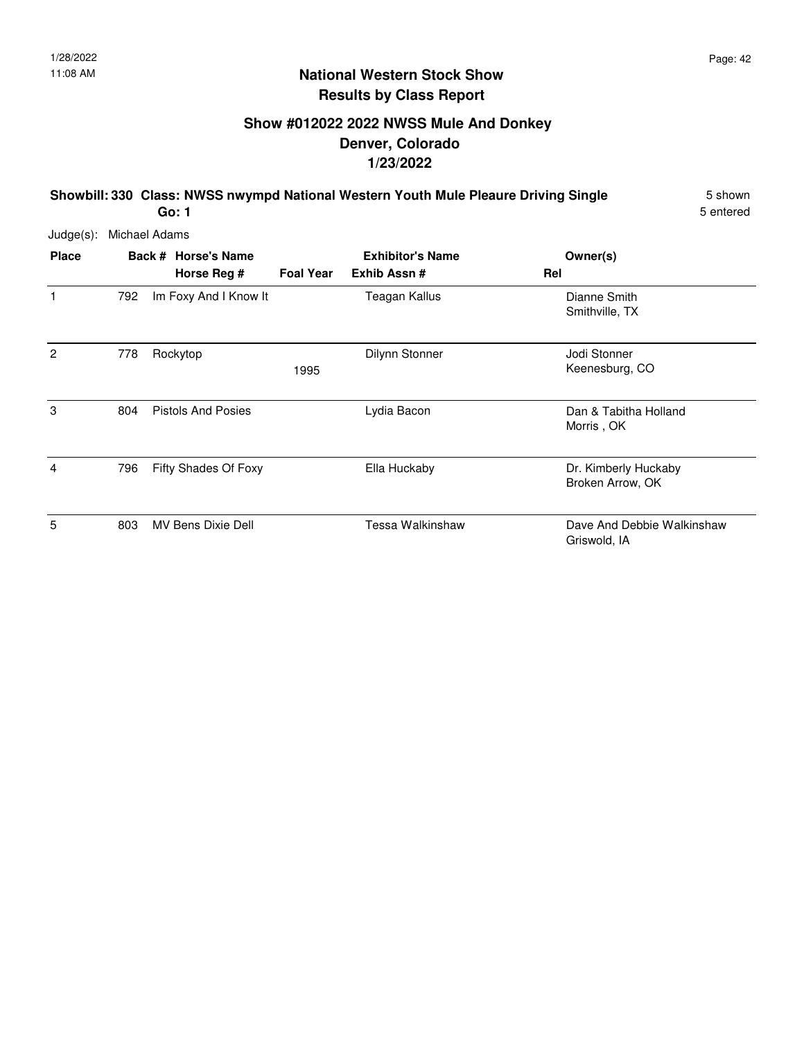# **Show #012022 2022 NWSS Mule And Donkey Denver, Colorado 1/23/2022**

**Showbill: 330 Class: NWSS nwympd National Western Youth Mule Pleaure Driving Single** 5 shown **Go: 1**

5 entered

| <b>Place</b>   |     | Back # Horse's Name<br>Horse Reg # | <b>Foal Year</b> | <b>Exhibitor's Name</b><br>Exhib Assn# | Owner(s)<br>Rel                            |
|----------------|-----|------------------------------------|------------------|----------------------------------------|--------------------------------------------|
| 1              | 792 | Im Foxy And I Know It              |                  | Teagan Kallus                          | Dianne Smith<br>Smithville, TX             |
| $\overline{2}$ | 778 | Rockytop                           | 1995             | Dilynn Stonner                         | Jodi Stonner<br>Keenesburg, CO             |
| 3              | 804 | <b>Pistols And Posies</b>          |                  | Lydia Bacon                            | Dan & Tabitha Holland<br>Morris, OK        |
| 4              | 796 | Fifty Shades Of Foxy               |                  | Ella Huckaby                           | Dr. Kimberly Huckaby<br>Broken Arrow, OK   |
| 5              | 803 | MV Bens Dixie Dell                 |                  | Tessa Walkinshaw                       | Dave And Debbie Walkinshaw<br>Griswold, IA |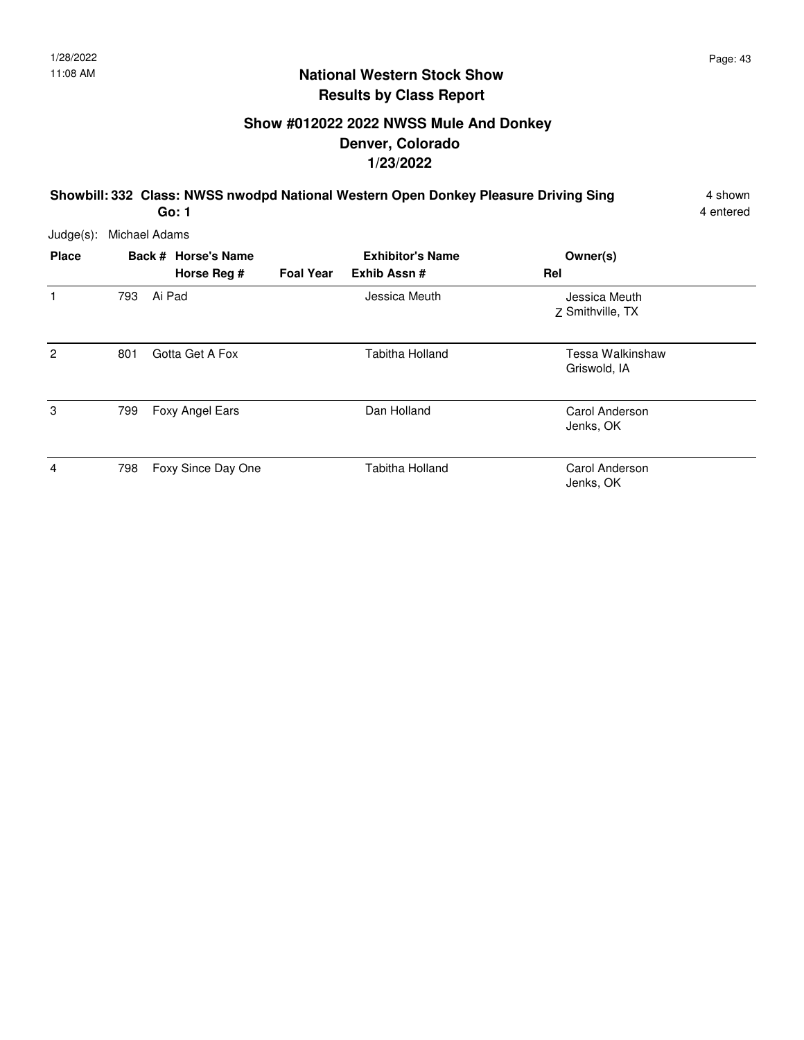**Go: 1**

### **National Western Stock Show Results by Class Report**

# **Show #012022 2022 NWSS Mule And Donkey Denver, Colorado 1/23/2022**

**Showbill: 332 Class: NWSS nwodpd National Western Open Donkey Pleasure Driving Sing** 4 shown

4 entered

| $Judge(s)$ : | Michael Adams |                                    |                  |                                        |                                   |  |  |  |  |
|--------------|---------------|------------------------------------|------------------|----------------------------------------|-----------------------------------|--|--|--|--|
| <b>Place</b> |               | Back # Horse's Name<br>Horse Reg # | <b>Foal Year</b> | <b>Exhibitor's Name</b><br>Exhib Assn# | Owner(s)<br>Rel                   |  |  |  |  |
| 1            | 793           | Ai Pad                             |                  | Jessica Meuth                          | Jessica Meuth<br>Z Smithville, TX |  |  |  |  |
| 2            | 801           | Gotta Get A Fox                    |                  | <b>Tabitha Holland</b>                 | Tessa Walkinshaw<br>Griswold, IA  |  |  |  |  |
| 3            | 799           | Foxy Angel Ears                    |                  | Dan Holland                            | Carol Anderson<br>Jenks, OK       |  |  |  |  |
| 4            | 798           | Foxy Since Day One                 |                  | <b>Tabitha Holland</b>                 | Carol Anderson<br>Jenks, OK       |  |  |  |  |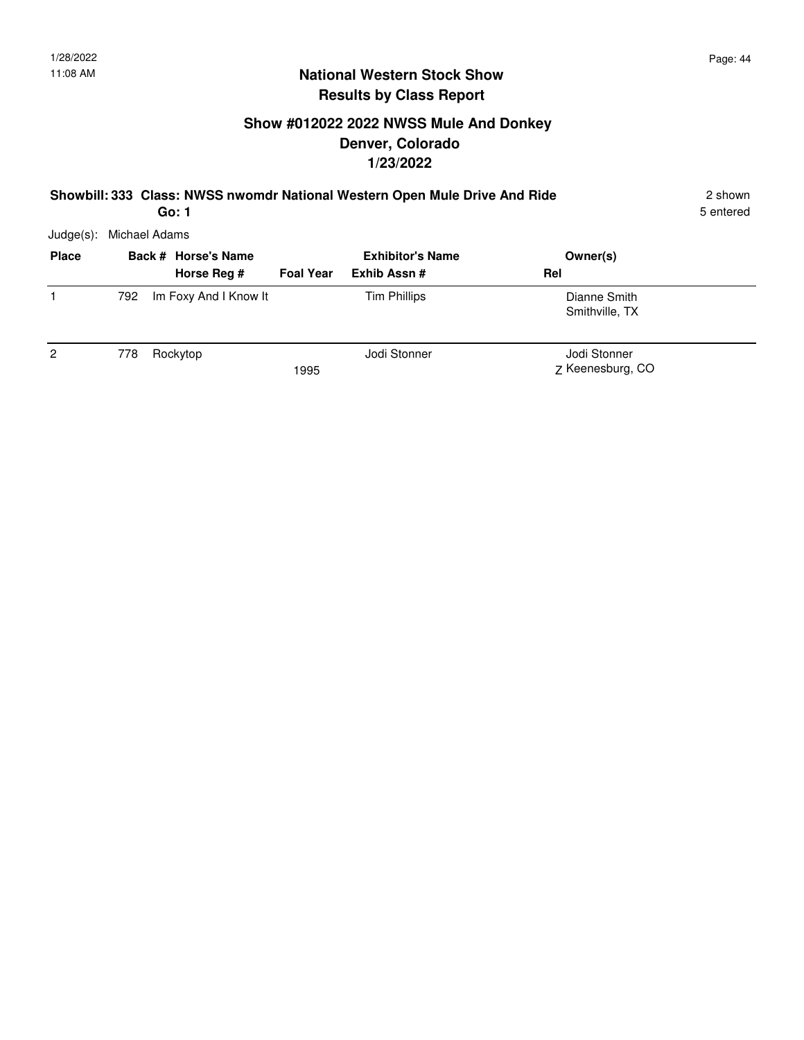# **Show #012022 2022 NWSS Mule And Donkey Denver, Colorado 1/23/2022**

#### **Showbill: 333 Class: NWSS nwomdr National Western Open Mule Drive And Ride** 2 shown

5 entered

Judge(s): Michael Adams

| <b>Place</b>   |     | Back # Horse's Name<br>Horse Reg # | <b>Foal Year</b> | <b>Exhibitor's Name</b><br>Exhib Assn# | Owner(s)<br>Rel                  |
|----------------|-----|------------------------------------|------------------|----------------------------------------|----------------------------------|
|                | 792 | Im Foxy And I Know It              |                  | <b>Tim Phillips</b>                    | Dianne Smith<br>Smithville, TX   |
| $\overline{2}$ | 778 | Rockytop                           | 1995             | Jodi Stonner                           | Jodi Stonner<br>Z Keenesburg, CO |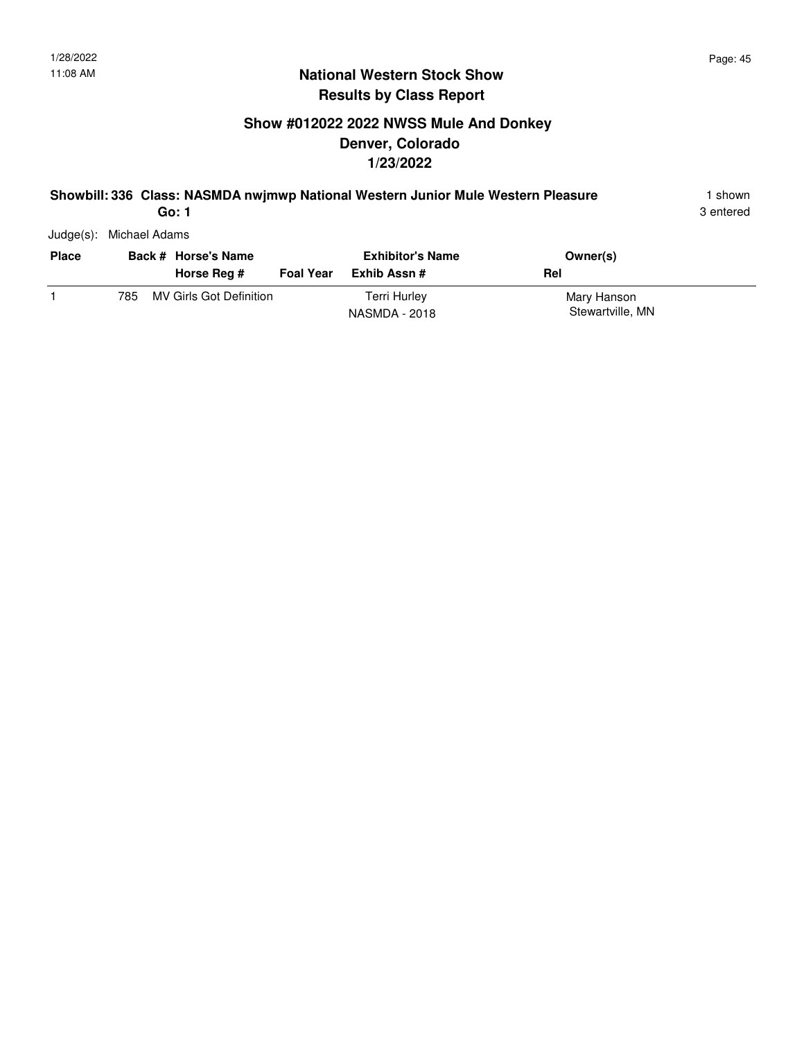# **Show #012022 2022 NWSS Mule And Donkey Denver, Colorado 1/23/2022**

#### **Showbill: 336 Class: NASMDA nwjmwp National Western Junior Mule Western Pleasure** 1 shown

3 entered

Judge(s): Michael Adams

| <b>Place</b> |     | Back # Horse's Name<br>Horse Reg # | <b>Foal Year</b> | <b>Exhibitor's Name</b><br>Exhib Assn # | Owner(s)<br>Rel                 |
|--------------|-----|------------------------------------|------------------|-----------------------------------------|---------------------------------|
|              | 785 | MV Girls Got Definition            |                  | <b>Terri Hurley</b><br>NASMDA - 2018    | Mary Hanson<br>Stewartville, MN |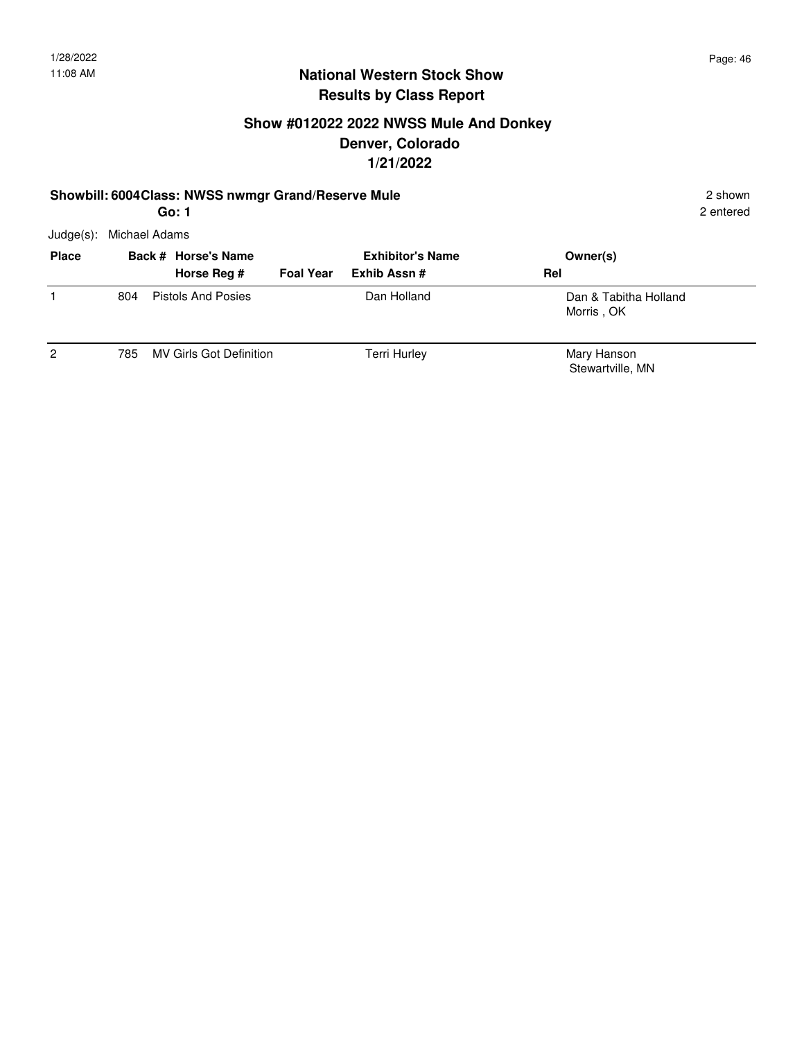2 entered

### **National Western Stock Show Results by Class Report**

## **Show #012022 2022 NWSS Mule And Donkey Denver, Colorado 1/21/2022**

#### **Showbill: 6004Class: NWSS nwmgr Grand/Reserve Mule** 2 shown 2 shown

Judge(s): Michael Adams

| <b>Place</b>   |     | Back # Horse's Name<br>Horse Reg # | <b>Foal Year</b> | <b>Exhibitor's Name</b><br>Exhib Assn # | Owner(s)<br>Rel                     |
|----------------|-----|------------------------------------|------------------|-----------------------------------------|-------------------------------------|
|                | 804 | <b>Pistols And Posies</b>          |                  | Dan Holland                             | Dan & Tabitha Holland<br>Morris, OK |
| $\overline{2}$ | 785 | MV Girls Got Definition            |                  | <b>Terri Hurley</b>                     | Mary Hanson<br>Stewartville, MN     |